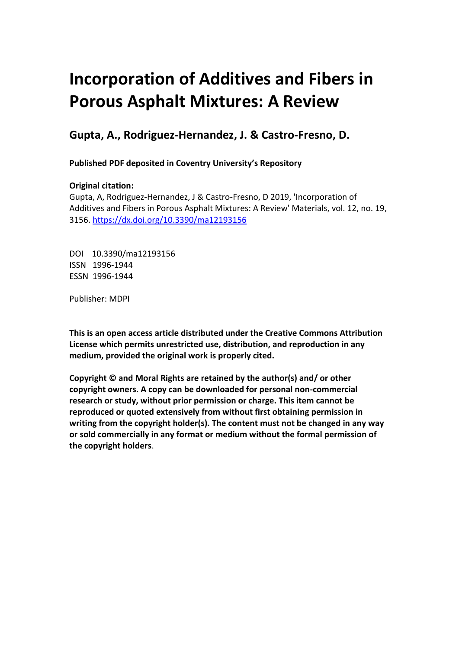# **Incorporation of Additives and Fibers in Porous Asphalt Mixtures: A Review**

## **Gupta, A., Rodriguez-Hernandez, J. & Castro-Fresno, D.**

 **Published PDF deposited in Coventry University's Repository** 

### **Original citation:**

 Additives and Fibers in Porous Asphalt Mixtures: A Review' Materials, vol. 12, no. 19, Gupta, A, Rodriguez-Hernandez, J & Castro-Fresno, D 2019, 'Incorporation of 3156. https://dx.doi.org/10.3390/ma12193156

 DOI 10.3390/ma12193156 ISSN 1996-1944 ESSN 1996-1944

Publisher: MDPI

 **This is an open access article distributed under the Creative Commons Attribution License which permits unrestricted use, distribution, and reproduction in any medium, provided the original work is properly cited.** 

 **Copyright © and Moral Rights are retained by the author(s) and/ or other copyright owners. A copy can be downloaded for personal non-commercial research or study, without prior permission or charge. This item cannot be reproduced or quoted extensively from without first obtaining permission in writing from the copyright holder(s). The content must not be changed in any way or sold commercially in any format or medium without the formal permission of the copyright holders**.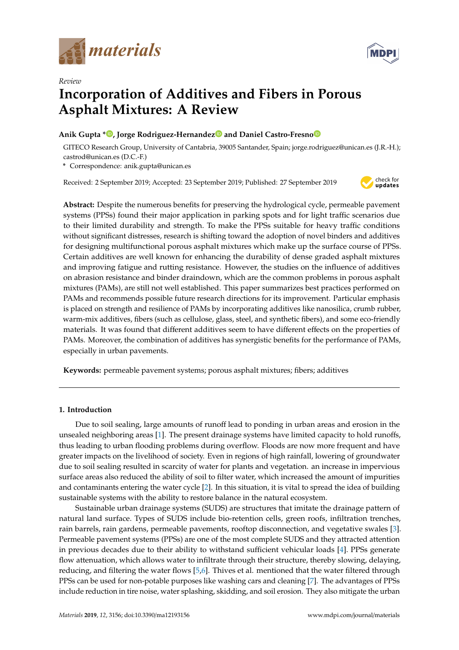

*Review* 



## **Incorporation of Additives and Fibers in Porous Asphalt Mixtures: A Review**

#### **Anik Gupta [\\* ,](https://orcid.org/0000-0002-8941-0780) Jorge Rodriguez-Hernande[z](https://orcid.org/0000-0003-1596-4024) and Daniel Castro-Fresn[o](https://orcid.org/0000-0001-5658-3901)**

GITECO Research Group, University of Cantabria, 39005 Santander, Spain; jorge.rodriguez@unican.es (J.R.-H.); castrod@unican.es (D.C.-F.)

**\*** Correspondence: anik.gupta@unican.es

Received: 2 September 2019; Accepted: 23 September 2019; Published: 27 September 2019



**Abstract:** Despite the numerous benefits for preserving the hydrological cycle, permeable pavement systems (PPSs) found their major application in parking spots and for light traffic scenarios due to their limited durability and strength. To make the PPSs suitable for heavy traffic conditions without significant distresses, research is shifting toward the adoption of novel binders and additives for designing multifunctional porous asphalt mixtures which make up the surface course of PPSs. Certain additives are well known for enhancing the durability of dense graded asphalt mixtures and improving fatigue and rutting resistance. However, the studies on the influence of additives on abrasion resistance and binder draindown, which are the common problems in porous asphalt mixtures (PAMs), are still not well established. This paper summarizes best practices performed on PAMs and recommends possible future research directions for its improvement. Particular emphasis is placed on strength and resilience of PAMs by incorporating additives like nanosilica, crumb rubber, warm-mix additives, fibers (such as cellulose, glass, steel, and synthetic fibers), and some eco-friendly materials. It was found that different additives seem to have different effects on the properties of PAMs. Moreover, the combination of additives has synergistic benefits for the performance of PAMs, especially in urban pavements.

**Keywords:** permeable pavement systems; porous asphalt mixtures; fibers; additives

#### **1. Introduction**

Due to soil sealing, large amounts of runoff lead to ponding in urban areas and erosion in the unsealed neighboring areas [\[1\]](#page-16-0). The present drainage systems have limited capacity to hold runoffs, thus leading to urban flooding problems during overflow. Floods are now more frequent and have greater impacts on the livelihood of society. Even in regions of high rainfall, lowering of groundwater due to soil sealing resulted in scarcity of water for plants and vegetation. an increase in impervious surface areas also reduced the ability of soil to filter water, which increased the amount of impurities and contaminants entering the water cycle [\[2\]](#page-16-1). In this situation, it is vital to spread the idea of building sustainable systems with the ability to restore balance in the natural ecosystem.

Sustainable urban drainage systems (SUDS) are structures that imitate the drainage pattern of natural land surface. Types of SUDS include bio-retention cells, green roofs, infiltration trenches, rain barrels, rain gardens, permeable pavements, rooftop disconnection, and vegetative swales [\[3\]](#page-16-2). Permeable pavement systems (PPSs) are one of the most complete SUDS and they attracted attention in previous decades due to their ability to withstand sufficient vehicular loads [\[4\]](#page-16-3). PPSs generate flow attenuation, which allows water to infiltrate through their structure, thereby slowing, delaying, reducing, and filtering the water flows [\[5](#page-16-4)[,6\]](#page-16-5). Thives et al. mentioned that the water filtered through PPSs can be used for non-potable purposes like washing cars and cleaning [\[7\]](#page-16-6). The advantages of PPSs include reduction in tire noise, water splashing, skidding, and soil erosion. They also mitigate the urban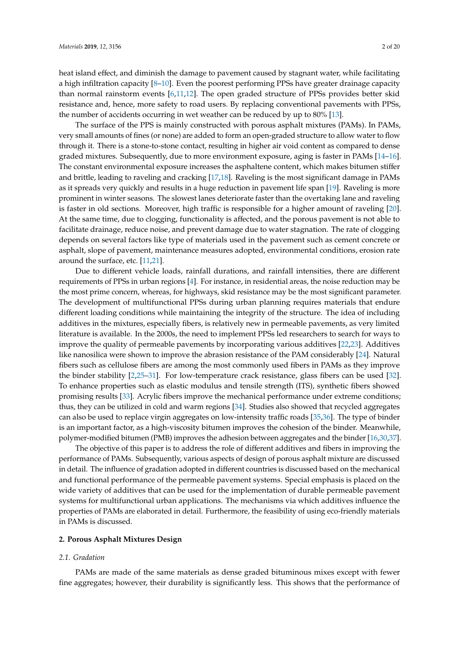heat island effect, and diminish the damage to pavement caused by stagnant water, while facilitating a high infiltration capacity [\[8](#page-16-7)[–10\]](#page-16-8). Even the poorest performing PPSs have greater drainage capacity than normal rainstorm events [\[6,](#page-16-5)[11,](#page-16-9)[12\]](#page-16-10). The open graded structure of PPSs provides better skid resistance and, hence, more safety to road users. By replacing conventional pavements with PPSs, the number of accidents occurring in wet weather can be reduced by up to 80% [\[13\]](#page-16-11).

The surface of the PPS is mainly constructed with porous asphalt mixtures (PAMs). In PAMs, very small amounts of fines (or none) are added to form an open-graded structure to allow water to flow through it. There is a stone-to-stone contact, resulting in higher air void content as compared to dense graded mixtures. Subsequently, due to more environment exposure, aging is faster in PAMs [\[14–](#page-16-12)[16\]](#page-16-13). The constant environmental exposure increases the asphaltene content, which makes bitumen stiffer and brittle, leading to raveling and cracking [\[17,](#page-16-14)[18\]](#page-16-15). Raveling is the most significant damage in PAMs as it spreads very quickly and results in a huge reduction in pavement life span [\[19\]](#page-16-16). Raveling is more prominent in winter seasons. The slowest lanes deteriorate faster than the overtaking lane and raveling is faster in old sections. Moreover, high traffic is responsible for a higher amount of raveling [\[20\]](#page-16-17). At the same time, due to clogging, functionality is affected, and the porous pavement is not able to facilitate drainage, reduce noise, and prevent damage due to water stagnation. The rate of clogging depends on several factors like type of materials used in the pavement such as cement concrete or asphalt, slope of pavement, maintenance measures adopted, environmental conditions, erosion rate around the surface, etc. [\[11,](#page-16-9)[21\]](#page-16-18).

Due to different vehicle loads, rainfall durations, and rainfall intensities, there are different requirements of PPSs in urban regions [\[4\]](#page-16-3). For instance, in residential areas, the noise reduction may be the most prime concern, whereas, for highways, skid resistance may be the most significant parameter. The development of multifunctional PPSs during urban planning requires materials that endure different loading conditions while maintaining the integrity of the structure. The idea of including additives in the mixtures, especially fibers, is relatively new in permeable pavements, as very limited literature is available. In the 2000s, the need to implement PPSs led researchers to search for ways to improve the quality of permeable pavements by incorporating various additives [\[22](#page-17-0)[,23\]](#page-17-1). Additives like nanosilica were shown to improve the abrasion resistance of the PAM considerably [\[24\]](#page-17-2). Natural fibers such as cellulose fibers are among the most commonly used fibers in PAMs as they improve the binder stability [\[2](#page-16-1)[,25](#page-17-3)[–31\]](#page-17-4). For low-temperature crack resistance, glass fibers can be used [\[32\]](#page-17-5). To enhance properties such as elastic modulus and tensile strength (ITS), synthetic fibers showed promising results [\[33\]](#page-17-6). Acrylic fibers improve the mechanical performance under extreme conditions; thus, they can be utilized in cold and warm regions [\[34\]](#page-17-7). Studies also showed that recycled aggregates can also be used to replace virgin aggregates on low-intensity traffic roads [\[35,](#page-17-8)[36\]](#page-17-9). The type of binder is an important factor, as a high-viscosity bitumen improves the cohesion of the binder. Meanwhile, polymer-modified bitumen (PMB) improves the adhesion between aggregates and the binder [\[16](#page-16-13)[,30](#page-17-10)[,37\]](#page-17-11).

The objective of this paper is to address the role of different additives and fibers in improving the performance of PAMs. Subsequently, various aspects of design of porous asphalt mixture are discussed in detail. The influence of gradation adopted in different countries is discussed based on the mechanical and functional performance of the permeable pavement systems. Special emphasis is placed on the wide variety of additives that can be used for the implementation of durable permeable pavement systems for multifunctional urban applications. The mechanisms via which additives influence the properties of PAMs are elaborated in detail. Furthermore, the feasibility of using eco-friendly materials in PAMs is discussed.

#### **2. Porous Asphalt Mixtures Design**

#### *2.1. Gradation*

PAMs are made of the same materials as dense graded bituminous mixes except with fewer fine aggregates; however, their durability is significantly less. This shows that the performance of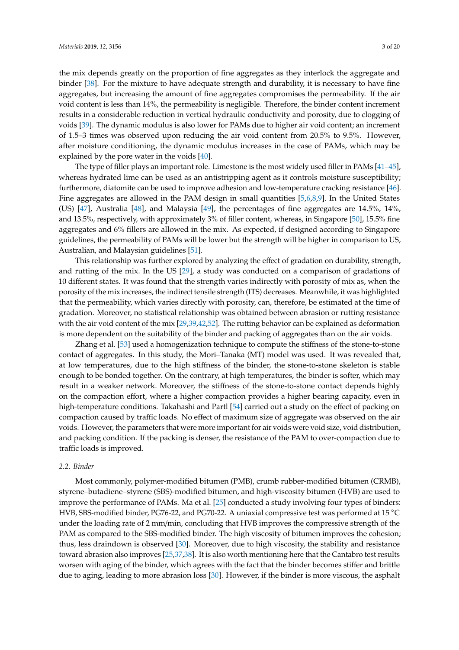the mix depends greatly on the proportion of fine aggregates as they interlock the aggregate and binder [\[38\]](#page-17-12). For the mixture to have adequate strength and durability, it is necessary to have fine aggregates, but increasing the amount of fine aggregates compromises the permeability. If the air void content is less than 14%, the permeability is negligible. Therefore, the binder content increment results in a considerable reduction in vertical hydraulic conductivity and porosity, due to clogging of voids [\[39\]](#page-17-13). The dynamic modulus is also lower for PAMs due to higher air void content; an increment of 1.5–3 times was observed upon reducing the air void content from 20.5% to 9.5%. However, after moisture conditioning, the dynamic modulus increases in the case of PAMs, which may be explained by the pore water in the voids [\[40\]](#page-17-14).

The type of filler plays an important role. Limestone is the most widely used filler in PAMs [\[41](#page-17-15)[–45\]](#page-18-0), whereas hydrated lime can be used as an antistripping agent as it controls moisture susceptibility; furthermore, diatomite can be used to improve adhesion and low-temperature cracking resistance [\[46\]](#page-18-1). Fine aggregates are allowed in the PAM design in small quantities [\[5,](#page-16-4)[6,](#page-16-5)[8,](#page-16-7)[9\]](#page-16-19). In the United States (US) [\[47\]](#page-18-2), Australia [\[48\]](#page-18-3), and Malaysia [\[49\]](#page-18-4), the percentages of fine aggregates are 14.5%, 14%, and 13.5%, respectively, with approximately 3% of filler content, whereas, in Singapore [\[50\]](#page-18-5), 15.5% fine aggregates and 6% fillers are allowed in the mix. As expected, if designed according to Singapore guidelines, the permeability of PAMs will be lower but the strength will be higher in comparison to US, Australian, and Malaysian guidelines [\[51\]](#page-18-6).

This relationship was further explored by analyzing the effect of gradation on durability, strength, and rutting of the mix. In the US [\[29\]](#page-17-16), a study was conducted on a comparison of gradations of 10 different states. It was found that the strength varies indirectly with porosity of mix as, when the porosity of the mix increases, the indirect tensile strength (ITS) decreases. Meanwhile, it was highlighted that the permeability, which varies directly with porosity, can, therefore, be estimated at the time of gradation. Moreover, no statistical relationship was obtained between abrasion or rutting resistance with the air void content of the mix [\[29](#page-17-16)[,39,](#page-17-13)[42,](#page-17-17)[52\]](#page-18-7). The rutting behavior can be explained as deformation is more dependent on the suitability of the binder and packing of aggregates than on the air voids.

Zhang et al. [\[53\]](#page-18-8) used a homogenization technique to compute the stiffness of the stone-to-stone contact of aggregates. In this study, the Mori–Tanaka (MT) model was used. It was revealed that, at low temperatures, due to the high stiffness of the binder, the stone-to-stone skeleton is stable enough to be bonded together. On the contrary, at high temperatures, the binder is softer, which may result in a weaker network. Moreover, the stiffness of the stone-to-stone contact depends highly on the compaction effort, where a higher compaction provides a higher bearing capacity, even in high-temperature conditions. Takahashi and Partl [\[54\]](#page-18-9) carried out a study on the effect of packing on compaction caused by traffic loads. No effect of maximum size of aggregate was observed on the air voids. However, the parameters that were more important for air voids were void size, void distribution, and packing condition. If the packing is denser, the resistance of the PAM to over-compaction due to traffic loads is improved.

#### *2.2. Binder*

Most commonly, polymer-modified bitumen (PMB), crumb rubber-modified bitumen (CRMB), styrene–butadiene–styrene (SBS)-modified bitumen, and high-viscosity bitumen (HVB) are used to improve the performance of PAMs. Ma et al. [\[25\]](#page-17-3) conducted a study involving four types of binders: HVB, SBS-modified binder, PG76-22, and PG70-22. A uniaxial compressive test was performed at 15 ◦C under the loading rate of 2 mm/min, concluding that HVB improves the compressive strength of the PAM as compared to the SBS-modified binder. The high viscosity of bitumen improves the cohesion; thus, less draindown is observed [\[30\]](#page-17-10). Moreover, due to high viscosity, the stability and resistance toward abrasion also improves [\[25,](#page-17-3)[37,](#page-17-11)[38\]](#page-17-12). It is also worth mentioning here that the Cantabro test results worsen with aging of the binder, which agrees with the fact that the binder becomes stiffer and brittle due to aging, leading to more abrasion loss [\[30\]](#page-17-10). However, if the binder is more viscous, the asphalt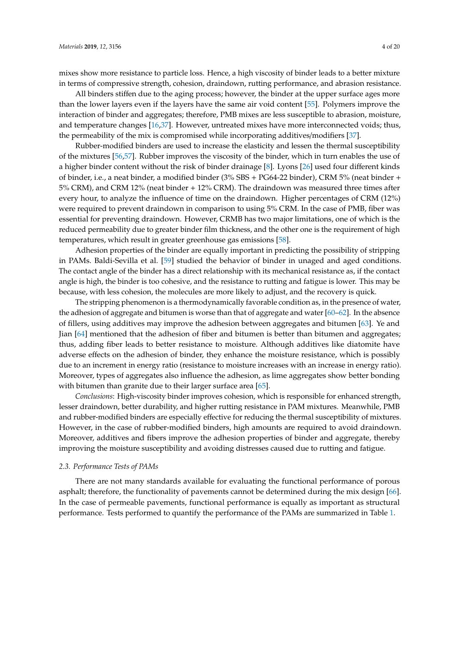mixes show more resistance to particle loss. Hence, a high viscosity of binder leads to a better mixture in terms of compressive strength, cohesion, draindown, rutting performance, and abrasion resistance.

All binders stiffen due to the aging process; however, the binder at the upper surface ages more than the lower layers even if the layers have the same air void content [\[55\]](#page-18-10). Polymers improve the interaction of binder and aggregates; therefore, PMB mixes are less susceptible to abrasion, moisture, and temperature changes [\[16,](#page-16-13)[37\]](#page-17-11). However, untreated mixes have more interconnected voids; thus, the permeability of the mix is compromised while incorporating additives/modifiers [\[37\]](#page-17-11).

Rubber-modified binders are used to increase the elasticity and lessen the thermal susceptibility of the mixtures [\[56](#page-18-11)[,57\]](#page-18-12). Rubber improves the viscosity of the binder, which in turn enables the use of a higher binder content without the risk of binder drainage [\[8\]](#page-16-7). Lyons [\[26\]](#page-17-18) used four different kinds of binder, i.e., a neat binder, a modified binder (3% SBS + PG64-22 binder), CRM 5% (neat binder + 5% CRM), and CRM 12% (neat binder + 12% CRM). The draindown was measured three times after every hour, to analyze the influence of time on the draindown. Higher percentages of CRM (12%) were required to prevent draindown in comparison to using 5% CRM. In the case of PMB, fiber was essential for preventing draindown. However, CRMB has two major limitations, one of which is the reduced permeability due to greater binder film thickness, and the other one is the requirement of high temperatures, which result in greater greenhouse gas emissions [\[58\]](#page-18-13).

Adhesion properties of the binder are equally important in predicting the possibility of stripping in PAMs. Baldi-Sevilla et al. [\[59\]](#page-18-14) studied the behavior of binder in unaged and aged conditions. The contact angle of the binder has a direct relationship with its mechanical resistance as, if the contact angle is high, the binder is too cohesive, and the resistance to rutting and fatigue is lower. This may be because, with less cohesion, the molecules are more likely to adjust, and the recovery is quick.

The stripping phenomenon is a thermodynamically favorable condition as, in the presence of water, the adhesion of aggregate and bitumen is worse than that of aggregate and water [\[60–](#page-18-15)[62\]](#page-18-16). In the absence of fillers, using additives may improve the adhesion between aggregates and bitumen [\[63\]](#page-18-17). Ye and Jian [\[64\]](#page-18-18) mentioned that the adhesion of fiber and bitumen is better than bitumen and aggregates; thus, adding fiber leads to better resistance to moisture. Although additives like diatomite have adverse effects on the adhesion of binder, they enhance the moisture resistance, which is possibly due to an increment in energy ratio (resistance to moisture increases with an increase in energy ratio). Moreover, types of aggregates also influence the adhesion, as lime aggregates show better bonding with bitumen than granite due to their larger surface area [\[65\]](#page-18-19).

*Conclusions*: High-viscosity binder improves cohesion, which is responsible for enhanced strength, lesser draindown, better durability, and higher rutting resistance in PAM mixtures. Meanwhile, PMB and rubber-modified binders are especially effective for reducing the thermal susceptibility of mixtures. However, in the case of rubber-modified binders, high amounts are required to avoid draindown. Moreover, additives and fibers improve the adhesion properties of binder and aggregate, thereby improving the moisture susceptibility and avoiding distresses caused due to rutting and fatigue.

#### *2.3. Performance Tests of PAMs*

There are not many standards available for evaluating the functional performance of porous asphalt; therefore, the functionality of pavements cannot be determined during the mix design [\[66\]](#page-18-20). In the case of permeable pavements, functional performance is equally as important as structural performance. Tests performed to quantify the performance of the PAMs are summarized in Table [1.](#page-5-0)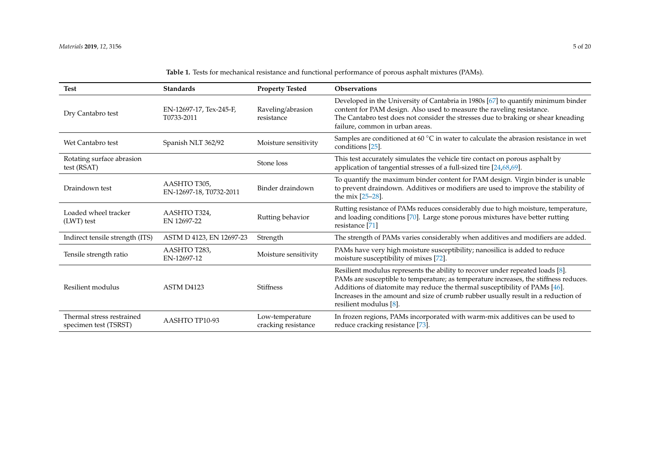<span id="page-5-0"></span>

| <b>Test</b>                                        | <b>Standards</b>                                | <b>Property Tested</b>                 | <b>Observations</b>                                                                                                                                                                                                                                                                                                                                                    |
|----------------------------------------------------|-------------------------------------------------|----------------------------------------|------------------------------------------------------------------------------------------------------------------------------------------------------------------------------------------------------------------------------------------------------------------------------------------------------------------------------------------------------------------------|
| Dry Cantabro test                                  | EN-12697-17, Tex-245-F,<br>T0733-2011           | Raveling/abrasion<br>resistance        | Developed in the University of Cantabria in 1980s [67] to quantify minimum binder<br>content for PAM design. Also used to measure the raveling resistance.<br>The Cantabro test does not consider the stresses due to braking or shear kneading<br>failure, common in urban areas.                                                                                     |
| Wet Cantabro test                                  | Spanish NLT 362/92                              | Moisture sensitivity                   | Samples are conditioned at 60 $^{\circ}$ C in water to calculate the abrasion resistance in wet<br>conditions [25].                                                                                                                                                                                                                                                    |
| Rotating surface abrasion<br>test (RSAT)           |                                                 | Stone loss                             | This test accurately simulates the vehicle tire contact on porous asphalt by<br>application of tangential stresses of a full-sized tire [24,68,69].                                                                                                                                                                                                                    |
| Draindown test                                     | AASHTO T305,<br>EN-12697-18, T0732-2011         | Binder draindown                       | To quantify the maximum binder content for PAM design. Virgin binder is unable<br>to prevent draindown. Additives or modifiers are used to improve the stability of<br>the mix $[25-28]$ .                                                                                                                                                                             |
| Loaded wheel tracker<br>(LWT) test                 | AASHTO T324,<br>Rutting behavior<br>EN 12697-22 |                                        | Rutting resistance of PAMs reduces considerably due to high moisture, temperature,<br>and loading conditions [70]. Large stone porous mixtures have better rutting<br>resistance [71]                                                                                                                                                                                  |
| Indirect tensile strength (ITS)                    | ASTM D 4123, EN 12697-23                        | Strength                               | The strength of PAMs varies considerably when additives and modifiers are added.                                                                                                                                                                                                                                                                                       |
| Tensile strength ratio                             | AASHTO T283,<br>EN-12697-12                     | Moisture sensitivity                   | PAMs have very high moisture susceptibility; nanosilica is added to reduce<br>moisture susceptibility of mixes [72].                                                                                                                                                                                                                                                   |
| Resilient modulus                                  | ASTM D4123                                      | <b>Stiffness</b>                       | Resilient modulus represents the ability to recover under repeated loads [8].<br>PAMs are susceptible to temperature; as temperature increases, the stiffness reduces.<br>Additions of diatomite may reduce the thermal susceptibility of PAMs [46].<br>Increases in the amount and size of crumb rubber usually result in a reduction of<br>resilient modulus $[8]$ . |
| Thermal stress restrained<br>specimen test (TSRST) | AASHTO TP10-93                                  | Low-temperature<br>cracking resistance | In frozen regions, PAMs incorporated with warm-mix additives can be used to<br>reduce cracking resistance [73].                                                                                                                                                                                                                                                        |

**Table 1.** Tests for mechanical resistance and functional performance of porous asphalt mixtures (PAMs).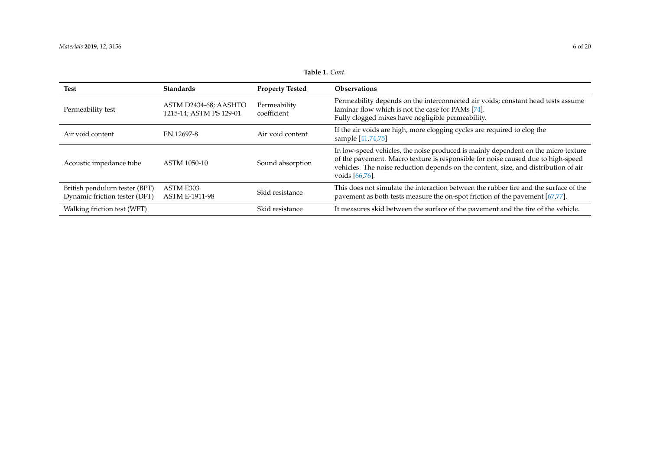| <b>Test</b>                                                    | <b>Standards</b>                                 | <b>Property Tested</b>      | <b>Observations</b>                                                                                                                                                                                                                                                                |
|----------------------------------------------------------------|--------------------------------------------------|-----------------------------|------------------------------------------------------------------------------------------------------------------------------------------------------------------------------------------------------------------------------------------------------------------------------------|
| Permeability test                                              | ASTM D2434-68; AASHTO<br>T215-14; ASTM PS 129-01 | Permeability<br>coefficient | Permeability depends on the interconnected air voids; constant head tests assume<br>laminar flow which is not the case for PAMs [74].<br>Fully clogged mixes have negligible permeability.                                                                                         |
| Air void content                                               | EN 12697-8                                       | Air void content            | If the air voids are high, more clogging cycles are required to clog the<br>sample [41,74,75]                                                                                                                                                                                      |
| Acoustic impedance tube                                        | ASTM 1050-10                                     | Sound absorption            | In low-speed vehicles, the noise produced is mainly dependent on the micro texture<br>of the pavement. Macro texture is responsible for noise caused due to high-speed<br>vehicles. The noise reduction depends on the content, size, and distribution of air<br>voids $[66,76]$ . |
| British pendulum tester (BPT)<br>Dynamic friction tester (DFT) | ASTM E303<br><b>ASTM E-1911-98</b>               | Skid resistance             | This does not simulate the interaction between the rubber tire and the surface of the<br>pavement as both tests measure the on-spot friction of the pavement [67,77].                                                                                                              |
| Walking friction test (WFT)                                    |                                                  | Skid resistance             | It measures skid between the surface of the pavement and the tire of the vehicle.                                                                                                                                                                                                  |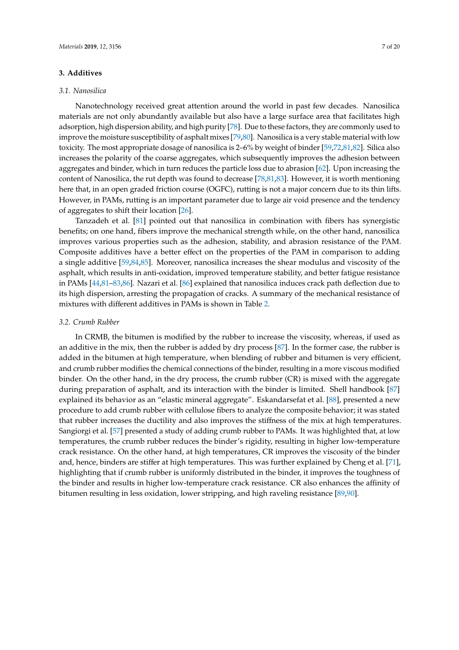#### **3. Additives**

#### *3.1. Nanosilica*

Nanotechnology received great attention around the world in past few decades. Nanosilica materials are not only abundantly available but also have a large surface area that facilitates high adsorption, high dispersion ability, and high purity [\[78\]](#page-19-10). Due to these factors, they are commonly used to improve the moisture susceptibility of asphalt mixes [\[79](#page-19-11)[,80\]](#page-19-12). Nanosilica is a very stable material with low toxicity. The most appropriate dosage of nanosilica is 2–6% by weight of binder [\[59](#page-18-14)[,72,](#page-19-13)[81,](#page-19-14)[82\]](#page-19-15). Silica also increases the polarity of the coarse aggregates, which subsequently improves the adhesion between aggregates and binder, which in turn reduces the particle loss due to abrasion [\[62\]](#page-18-16). Upon increasing the content of Nanosilica, the rut depth was found to decrease [\[78](#page-19-10)[,81,](#page-19-14)[83\]](#page-19-16). However, it is worth mentioning here that, in an open graded friction course (OGFC), rutting is not a major concern due to its thin lifts. However, in PAMs, rutting is an important parameter due to large air void presence and the tendency of aggregates to shift their location [\[26\]](#page-17-18).

Tanzadeh et al. [\[81\]](#page-19-14) pointed out that nanosilica in combination with fibers has synergistic benefits; on one hand, fibers improve the mechanical strength while, on the other hand, nanosilica improves various properties such as the adhesion, stability, and abrasion resistance of the PAM. Composite additives have a better effect on the properties of the PAM in comparison to adding a single additive [\[59,](#page-18-14)[84,](#page-19-17)[85\]](#page-19-18). Moreover, nanosilica increases the shear modulus and viscosity of the asphalt, which results in anti-oxidation, improved temperature stability, and better fatigue resistance in PAMs [\[44](#page-17-23)[,81–](#page-19-14)[83](#page-19-16)[,86\]](#page-19-19). Nazari et al. [\[86\]](#page-19-19) explained that nanosilica induces crack path deflection due to its high dispersion, arresting the propagation of cracks. A summary of the mechanical resistance of mixtures with different additives in PAMs is shown in Table [2.](#page-8-0)

#### *3.2. Crumb Rubber*

In CRMB, the bitumen is modified by the rubber to increase the viscosity, whereas, if used as an additive in the mix, then the rubber is added by dry process [\[87\]](#page-19-20). In the former case, the rubber is added in the bitumen at high temperature, when blending of rubber and bitumen is very efficient, and crumb rubber modifies the chemical connections of the binder, resulting in a more viscous modified binder. On the other hand, in the dry process, the crumb rubber (CR) is mixed with the aggregate during preparation of asphalt, and its interaction with the binder is limited. Shell handbook [\[87\]](#page-19-20) explained its behavior as an "elastic mineral aggregate". Eskandarsefat et al. [\[88\]](#page-19-21), presented a new procedure to add crumb rubber with cellulose fibers to analyze the composite behavior; it was stated that rubber increases the ductility and also improves the stiffness of the mix at high temperatures. Sangiorgi et al. [\[57\]](#page-18-12) presented a study of adding crumb rubber to PAMs. It was highlighted that, at low temperatures, the crumb rubber reduces the binder's rigidity, resulting in higher low-temperature crack resistance. On the other hand, at high temperatures, CR improves the viscosity of the binder and, hence, binders are stiffer at high temperatures. This was further explained by Cheng et al. [\[71\]](#page-19-22), highlighting that if crumb rubber is uniformly distributed in the binder, it improves the toughness of the binder and results in higher low-temperature crack resistance. CR also enhances the affinity of bitumen resulting in less oxidation, lower stripping, and high raveling resistance [\[89](#page-19-23)[,90\]](#page-19-24).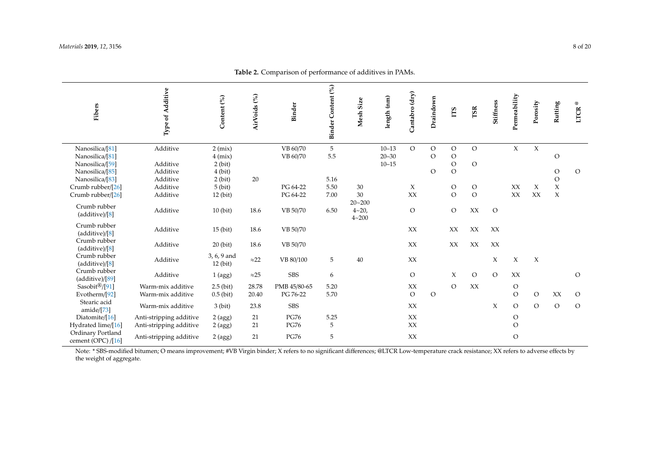| Fibers                                  | Type of Additive        | Content (%)               | AirVoids <sup>(%)</sup> | Binder       | Binder Content (%) | Mesh Size              | length (nm) | Cantabro (dry) | Draindown      | ПS            | TSR            | Stiffness | Permeability   | Porosity | Rutting       | $^\copyright$<br><b>LTCR</b> |
|-----------------------------------------|-------------------------|---------------------------|-------------------------|--------------|--------------------|------------------------|-------------|----------------|----------------|---------------|----------------|-----------|----------------|----------|---------------|------------------------------|
|                                         |                         |                           |                         |              |                    |                        |             |                |                |               |                |           |                |          |               |                              |
| Nanosilica/[81]                         | Additive                | $2$ (mix)                 |                         | VB 60/70     | 5                  |                        | $10 - 13$   | $\mathcal{O}$  | $\mathcal O$   | $\circ$       | $\circ$        |           | $\chi$         | $\chi$   |               |                              |
| Nanosilica/[81]                         |                         | $4$ (mix)                 |                         | VB 60/70     | 5.5                |                        | $20 - 30$   |                | $\circ$        | $\circ$       |                |           |                |          | $\circ$       |                              |
| Nanosilica/[59]                         | Additive                | $2$ (bit)                 |                         |              |                    |                        | $10 - 15$   |                |                | $\mathcal O$  | $\circ$        |           |                |          |               |                              |
| Nanosilica/[85]                         | Additive                | $4$ (bit)                 |                         |              |                    |                        |             |                | $\mathcal O$   | $\circ$       |                |           |                |          | $\mathcal{O}$ | $\circ$                      |
| Nanosilica/[83]                         | Additive                | $2$ (bit)                 | 20                      |              | 5.16               |                        |             |                |                |               |                |           |                |          | $\mathcal O$  |                              |
| Crumb rubber/[26]                       | Additive                | $5$ (bit)                 |                         | PG 64-22     | 5.50               | 30                     |             | X              |                | $\circ$       | $\circ$        |           | XX             | X        | $\mathsf X$   |                              |
| Crumb rubber/[26]                       | Additive                | $12$ (bit)                |                         | PG 64-22     | 7.00               | 30                     |             | XX             |                | $\Omega$      | $\overline{O}$ |           | XX             | XX       | $\mathsf X$   |                              |
| Crumb rubber<br>(additive)/[8]          | Additive                | $10$ (bit)                | 18.6                    | VB 50/70     | 6.50               | $20 - 200$<br>$4 - 20$ |             | $\mathcal{O}$  |                | $\mathcal{O}$ | XX             | $\circ$   |                |          |               |                              |
| Crumb rubber<br>(additive)/[8]          | Additive                | $15$ (bit)                | 18.6                    | VB 50/70     |                    | $4 - 200$              |             | XX             |                | XX            | XX             | XX        |                |          |               |                              |
| Crumb rubber<br>(additive)/[8]          | Additive                | $20$ (bit)                | 18.6                    | VB 50/70     |                    |                        |             | XX             |                | XX            | XX             | XX        |                |          |               |                              |
| Crumb rubber<br>(additive)/[8]          | Additive                | 3, 6, 9 and<br>$12$ (bit) | ${\approx}22$           | VB 80/100    | 5                  | 40                     |             | XX             |                |               |                | X         | $\chi$         | $\chi$   |               |                              |
| Crumb rubber<br>(additive)/[89]         | Additive                | $1$ (agg)                 | ${\approx}25$           | <b>SBS</b>   | 6                  |                        |             | $\circ$        |                | X             | $\mathcal{O}$  | $\Omega$  | XX             |          |               | $\mathcal O$                 |
| Sasobit $\mathbb{B}/[91]$               | Warm-mix additive       | $2.5$ (bit)               | 28.78                   | PMB 45/80-65 | 5.20               |                        |             | XX             |                | $\mathcal{O}$ | XX             |           | $\rm{O}$       |          |               |                              |
| Evotherm/[92]                           | Warm-mix additive       | $0.5$ (bit)               | 20.40                   | PG 76-22     | 5.70               |                        |             | $\circ$        | $\overline{O}$ |               |                |           | $\mathcal{O}$  | $\circ$  | XX            | $\circ$                      |
| Stearic acid<br>amide/ $[73]$           | Warm-mix additive       | $3$ (bit)                 | 23.8                    | <b>SBS</b>   |                    |                        |             | XX             |                |               |                | X         | $\mathcal{O}$  | $\circ$  | $\mathcal{O}$ | $\circ$                      |
| Diatomite/[16]                          | Anti-stripping additive | 2 (agg)                   | 21                      | <b>PG76</b>  | 5.25               |                        |             | XX             |                |               |                |           | $\circ$        |          |               |                              |
| Hydrated lime/[16]                      | Anti-stripping additive | $2$ (agg)                 | 21                      | <b>PG76</b>  | 5                  |                        |             | XX             |                |               |                |           | $\circ$        |          |               |                              |
| Ordinary Portland<br>cement (OPC) /[16] | Anti-stripping additive | 2 (agg)                   | 21                      | <b>PG76</b>  | 5                  |                        |             | XX             |                |               |                |           | $\overline{O}$ |          |               |                              |

**Table 2.** Comparison of performance of additives in PAMs.

<span id="page-8-0"></span>Note: \* SBS-modified bitumen; O means improvement; #VB Virgin binder; X refers to no significant differences; @LTCR Low-temperature crack resistance; XX refers to adverse effects by the weight of aggregate.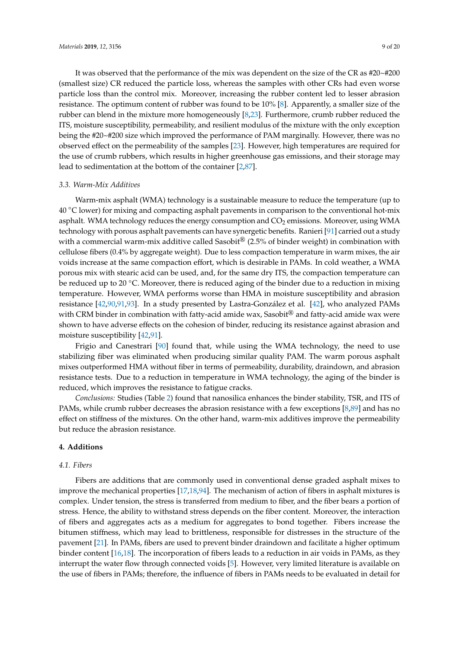It was observed that the performance of the mix was dependent on the size of the CR as #20~#200 (smallest size) CR reduced the particle loss, whereas the samples with other CRs had even worse particle loss than the control mix. Moreover, increasing the rubber content led to lesser abrasion resistance. The optimum content of rubber was found to be 10% [\[8\]](#page-16-7). Apparently, a smaller size of the rubber can blend in the mixture more homogeneously [\[8,](#page-16-7)[23\]](#page-17-1). Furthermore, crumb rubber reduced the ITS, moisture susceptibility, permeability, and resilient modulus of the mixture with the only exception being the #20~#200 size which improved the performance of PAM marginally. However, there was no observed effect on the permeability of the samples [\[23\]](#page-17-1). However, high temperatures are required for the use of crumb rubbers, which results in higher greenhouse gas emissions, and their storage may lead to sedimentation at the bottom of the container [\[2,](#page-16-1)[87\]](#page-19-20).

#### *3.3. Warm-Mix Additives*

Warm-mix asphalt (WMA) technology is a sustainable measure to reduce the temperature (up to 40 ◦C lower) for mixing and compacting asphalt pavements in comparison to the conventional hot-mix asphalt. WMA technology reduces the energy consumption and  $CO<sub>2</sub>$  emissions. Moreover, using WMA technology with porous asphalt pavements can have synergetic benefits. Ranieri [\[91\]](#page-19-30) carried out a study with a commercial warm-mix additive called Sasobit<sup>®</sup> (2.5% of binder weight) in combination with cellulose fibers (0.4% by aggregate weight). Due to less compaction temperature in warm mixes, the air voids increase at the same compaction effort, which is desirable in PAMs. In cold weather, a WMA porous mix with stearic acid can be used, and, for the same dry ITS, the compaction temperature can be reduced up to 20 °C. Moreover, there is reduced aging of the binder due to a reduction in mixing temperature. However, WMA performs worse than HMA in moisture susceptibility and abrasion resistance [\[42,](#page-17-17)[90,](#page-19-24)[91,](#page-19-30)[93\]](#page-20-1). In a study presented by Lastra-González et al. [\[42\]](#page-17-17), who analyzed PAMs with CRM binder in combination with fatty-acid amide wax, Sasobit<sup>®</sup> and fatty-acid amide wax were shown to have adverse effects on the cohesion of binder, reducing its resistance against abrasion and moisture susceptibility [\[42,](#page-17-17)[91\]](#page-19-30).

Frigio and Canestrari [\[90\]](#page-19-24) found that, while using the WMA technology, the need to use stabilizing fiber was eliminated when producing similar quality PAM. The warm porous asphalt mixes outperformed HMA without fiber in terms of permeability, durability, draindown, and abrasion resistance tests. Due to a reduction in temperature in WMA technology, the aging of the binder is reduced, which improves the resistance to fatigue cracks.

*Conclusions:* Studies (Table [2\)](#page-8-0) found that nanosilica enhances the binder stability, TSR, and ITS of PAMs, while crumb rubber decreases the abrasion resistance with a few exceptions [\[8](#page-16-7)[,89\]](#page-19-23) and has no effect on stiffness of the mixtures. On the other hand, warm-mix additives improve the permeability but reduce the abrasion resistance.

#### **4. Additions**

#### *4.1. Fibers*

Fibers are additions that are commonly used in conventional dense graded asphalt mixes to improve the mechanical properties [\[17,](#page-16-14)[18,](#page-16-15)[94\]](#page-20-2). The mechanism of action of fibers in asphalt mixtures is complex. Under tension, the stress is transferred from medium to fiber, and the fiber bears a portion of stress. Hence, the ability to withstand stress depends on the fiber content. Moreover, the interaction of fibers and aggregates acts as a medium for aggregates to bond together. Fibers increase the bitumen stiffness, which may lead to brittleness, responsible for distresses in the structure of the pavement [\[21\]](#page-16-18). In PAMs, fibers are used to prevent binder draindown and facilitate a higher optimum binder content [\[16,](#page-16-13)[18\]](#page-16-15). The incorporation of fibers leads to a reduction in air voids in PAMs, as they interrupt the water flow through connected voids [\[5\]](#page-16-4). However, very limited literature is available on the use of fibers in PAMs; therefore, the influence of fibers in PAMs needs to be evaluated in detail for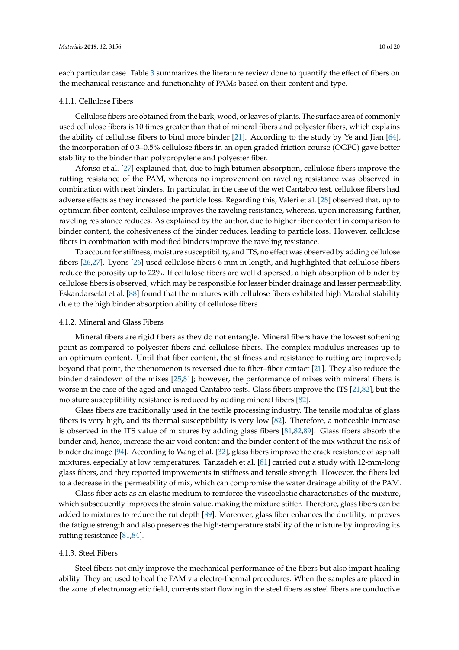each particular case. Table [3](#page-12-0) summarizes the literature review done to quantify the effect of fibers on the mechanical resistance and functionality of PAMs based on their content and type.

#### 4.1.1. Cellulose Fibers

Cellulose fibers are obtained from the bark, wood, or leaves of plants. The surface area of commonly used cellulose fibers is 10 times greater than that of mineral fibers and polyester fibers, which explains the ability of cellulose fibers to bind more binder [\[21\]](#page-16-18). According to the study by Ye and Jian [\[64\]](#page-18-18), the incorporation of 0.3–0.5% cellulose fibers in an open graded friction course (OGFC) gave better stability to the binder than polypropylene and polyester fiber.

Afonso et al. [\[27\]](#page-17-25) explained that, due to high bitumen absorption, cellulose fibers improve the rutting resistance of the PAM, whereas no improvement on raveling resistance was observed in combination with neat binders. In particular, in the case of the wet Cantabro test, cellulose fibers had adverse effects as they increased the particle loss. Regarding this, Valeri et al. [\[28\]](#page-17-26) observed that, up to optimum fiber content, cellulose improves the raveling resistance, whereas, upon increasing further, raveling resistance reduces. As explained by the author, due to higher fiber content in comparison to binder content, the cohesiveness of the binder reduces, leading to particle loss. However, cellulose fibers in combination with modified binders improve the raveling resistance.

To account for stiffness, moisture susceptibility, and ITS, no effect was observed by adding cellulose fibers [\[26,](#page-17-18)[27\]](#page-17-25). Lyons [\[26\]](#page-17-18) used cellulose fibers 6 mm in length, and highlighted that cellulose fibers reduce the porosity up to 22%. If cellulose fibers are well dispersed, a high absorption of binder by cellulose fibers is observed, which may be responsible for lesser binder drainage and lesser permeability. Eskandarsefat et al. [\[88\]](#page-19-21) found that the mixtures with cellulose fibers exhibited high Marshal stability due to the high binder absorption ability of cellulose fibers.

#### 4.1.2. Mineral and Glass Fibers

Mineral fibers are rigid fibers as they do not entangle. Mineral fibers have the lowest softening point as compared to polyester fibers and cellulose fibers. The complex modulus increases up to an optimum content. Until that fiber content, the stiffness and resistance to rutting are improved; beyond that point, the phenomenon is reversed due to fiber–fiber contact [\[21\]](#page-16-18). They also reduce the binder draindown of the mixes [\[25](#page-17-3)[,81\]](#page-19-14); however, the performance of mixes with mineral fibers is worse in the case of the aged and unaged Cantabro tests. Glass fibers improve the ITS [\[21,](#page-16-18)[82\]](#page-19-15), but the moisture susceptibility resistance is reduced by adding mineral fibers [\[82\]](#page-19-15).

Glass fibers are traditionally used in the textile processing industry. The tensile modulus of glass fibers is very high, and its thermal susceptibility is very low [\[82\]](#page-19-15). Therefore, a noticeable increase is observed in the ITS value of mixtures by adding glass fibers [\[81](#page-19-14)[,82](#page-19-15)[,89\]](#page-19-23). Glass fibers absorb the binder and, hence, increase the air void content and the binder content of the mix without the risk of binder drainage [\[94\]](#page-20-2). According to Wang et al. [\[32\]](#page-17-5), glass fibers improve the crack resistance of asphalt mixtures, especially at low temperatures. Tanzadeh et al. [\[81\]](#page-19-14) carried out a study with 12-mm-long glass fibers, and they reported improvements in stiffness and tensile strength. However, the fibers led to a decrease in the permeability of mix, which can compromise the water drainage ability of the PAM.

Glass fiber acts as an elastic medium to reinforce the viscoelastic characteristics of the mixture, which subsequently improves the strain value, making the mixture stiffer. Therefore, glass fibers can be added to mixtures to reduce the rut depth [\[89\]](#page-19-23). Moreover, glass fiber enhances the ductility, improves the fatigue strength and also preserves the high-temperature stability of the mixture by improving its rutting resistance [\[81](#page-19-14)[,84\]](#page-19-17).

#### 4.1.3. Steel Fibers

Steel fibers not only improve the mechanical performance of the fibers but also impart healing ability. They are used to heal the PAM via electro-thermal procedures. When the samples are placed in the zone of electromagnetic field, currents start flowing in the steel fibers as steel fibers are conductive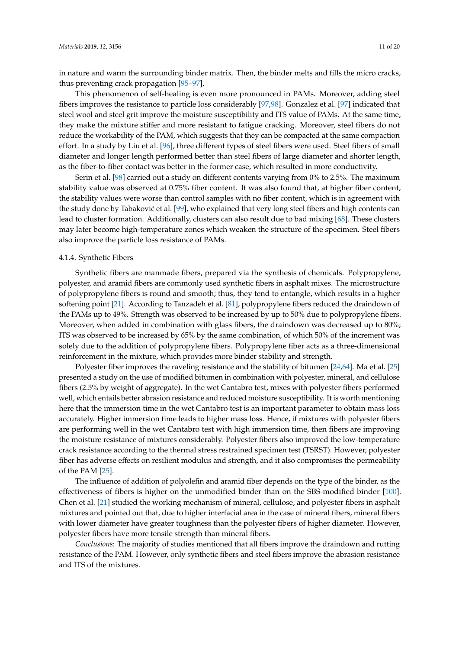in nature and warm the surrounding binder matrix. Then, the binder melts and fills the micro cracks, thus preventing crack propagation [\[95–](#page-20-3)[97\]](#page-20-4).

This phenomenon of self-healing is even more pronounced in PAMs. Moreover, adding steel fibers improves the resistance to particle loss considerably [\[97](#page-20-4)[,98\]](#page-20-5). Gonzalez et al. [\[97\]](#page-20-4) indicated that steel wool and steel grit improve the moisture susceptibility and ITS value of PAMs. At the same time, they make the mixture stiffer and more resistant to fatigue cracking. Moreover, steel fibers do not reduce the workability of the PAM, which suggests that they can be compacted at the same compaction effort. In a study by Liu et al. [\[96\]](#page-20-6), three different types of steel fibers were used. Steel fibers of small diameter and longer length performed better than steel fibers of large diameter and shorter length, as the fiber-to-fiber contact was better in the former case, which resulted in more conductivity.

Serin et al. [\[98\]](#page-20-5) carried out a study on different contents varying from 0% to 2.5%. The maximum stability value was observed at 0.75% fiber content. It was also found that, at higher fiber content, the stability values were worse than control samples with no fiber content, which is in agreement with the study done by Tabaković et al. [\[99\]](#page-20-7), who explained that very long steel fibers and high contents can lead to cluster formation. Additionally, clusters can also result due to bad mixing [\[68\]](#page-19-31). These clusters may later become high-temperature zones which weaken the structure of the specimen. Steel fibers also improve the particle loss resistance of PAMs.

#### 4.1.4. Synthetic Fibers

Synthetic fibers are manmade fibers, prepared via the synthesis of chemicals. Polypropylene, polyester, and aramid fibers are commonly used synthetic fibers in asphalt mixes. The microstructure of polypropylene fibers is round and smooth; thus, they tend to entangle, which results in a higher softening point [\[21\]](#page-16-18). According to Tanzadeh et al. [\[81\]](#page-19-14), polypropylene fibers reduced the draindown of the PAMs up to 49%. Strength was observed to be increased by up to 50% due to polypropylene fibers. Moreover, when added in combination with glass fibers, the draindown was decreased up to 80%; ITS was observed to be increased by 65% by the same combination, of which 50% of the increment was solely due to the addition of polypropylene fibers. Polypropylene fiber acts as a three-dimensional reinforcement in the mixture, which provides more binder stability and strength.

Polyester fiber improves the raveling resistance and the stability of bitumen [\[24,](#page-17-2)[64\]](#page-18-18). Ma et al. [\[25\]](#page-17-3) presented a study on the use of modified bitumen in combination with polyester, mineral, and cellulose fibers (2.5% by weight of aggregate). In the wet Cantabro test, mixes with polyester fibers performed well, which entails better abrasion resistance and reduced moisture susceptibility. It is worth mentioning here that the immersion time in the wet Cantabro test is an important parameter to obtain mass loss accurately. Higher immersion time leads to higher mass loss. Hence, if mixtures with polyester fibers are performing well in the wet Cantabro test with high immersion time, then fibers are improving the moisture resistance of mixtures considerably. Polyester fibers also improved the low-temperature crack resistance according to the thermal stress restrained specimen test (TSRST). However, polyester fiber has adverse effects on resilient modulus and strength, and it also compromises the permeability of the PAM [\[25\]](#page-17-3).

The influence of addition of polyolefin and aramid fiber depends on the type of the binder, as the effectiveness of fibers is higher on the unmodified binder than on the SBS-modified binder [\[100\]](#page-20-8). Chen et al. [\[21\]](#page-16-18) studied the working mechanism of mineral, cellulose, and polyester fibers in asphalt mixtures and pointed out that, due to higher interfacial area in the case of mineral fibers, mineral fibers with lower diameter have greater toughness than the polyester fibers of higher diameter. However, polyester fibers have more tensile strength than mineral fibers.

*Conclusions*: The majority of studies mentioned that all fibers improve the draindown and rutting resistance of the PAM. However, only synthetic fibers and steel fibers improve the abrasion resistance and ITS of the mixtures.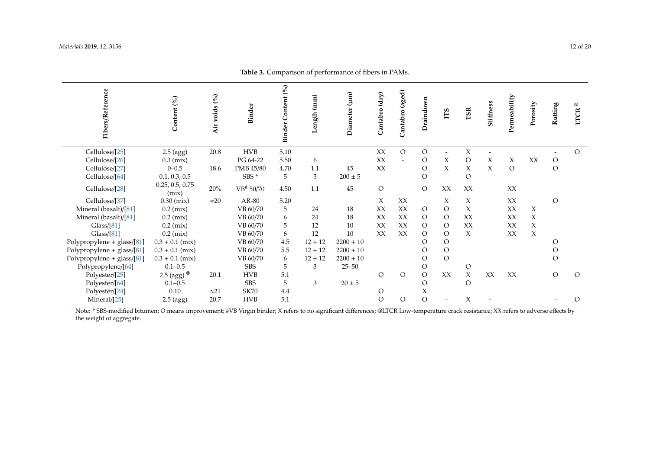| Fibers/Reference             | Content (%)                                         | Air voids (%) | Binder      | Content (%)<br><b>Binder</b> | Length (mm) | Diameter (µm) | Cantabro (dry) | Cantabro (aged) | Draindown      | ĽБ                       | <b>TSR</b>     | Stiffness | Permeability  | Porosity | Rutting       | $^\copyright$<br><b>LTCR</b> |
|------------------------------|-----------------------------------------------------|---------------|-------------|------------------------------|-------------|---------------|----------------|-----------------|----------------|--------------------------|----------------|-----------|---------------|----------|---------------|------------------------------|
| Cellulose/[25]               | $2.5$ (agg)                                         | 20.8          | <b>HVB</b>  | 5.10                         |             |               | XX             | $\mathcal{O}$   | $\mathcal{O}$  | $\overline{\phantom{a}}$ | X              |           |               |          |               | $\Omega$                     |
| Cellulose/[26]               | $0.3$ (mix)                                         |               | PG 64-22    | 5.50                         | 6           |               | XX             | $\overline{a}$  | $\circ$        | X                        | $\circ$        | X         | X             | XX       | $\mathcal{O}$ |                              |
| Cellulose/[27]               | $0 - 0.5$                                           | 18.6          | PMB 45/80   | 4.70                         | 1.1         | 45            | XX             |                 | $\mathcal{O}$  | $\chi$                   | $\chi$         | $\chi$    | $\mathcal{O}$ |          | $\mathcal{O}$ |                              |
| Cellulose/[64]               | 0.1, 0.3, 0.5                                       |               | SBS*        | 5                            | 3           | $200 \pm 5$   |                |                 | $\overline{O}$ |                          | $\overline{O}$ |           |               |          |               |                              |
| Cellulose/[28]               | 0.25, 0.5, 0.75<br>(mix)                            | 20%           | VB# 50/70   | 4.50                         | 1.1         | 45            | $\circ$        |                 | $\overline{O}$ | XX                       | XX             |           | XX            |          |               |                              |
| Cellulose/[37]               | $0.30$ (mix)                                        | $\approx$ 20  | AR-80       | 5.20                         |             |               | X              | XX              |                | X                        | X              |           | XX            |          | $\mathcal{O}$ |                              |
| Mineral (basalt)/[81]        | $0.2$ (mix)                                         |               | VB 60/70    | 5                            | 24          | 18            | XX             | XX              | $\circ$        | $\circ$                  | X              |           | XX            | X        |               |                              |
| Mineral (basalt)/[81]        | $0.2$ (mix)                                         |               | VB 60/70    | 6                            | 24          | 18            | XX             | XX              | $\overline{O}$ | $\circ$                  | XX             |           | XX            | $\chi$   |               |                              |
| Glass/[81]                   | $0.2$ (mix)                                         |               | VB 60/70    | 5                            | 12          | 10            | XX             | XX              | $\overline{O}$ | $\mathcal{O}$            | XX             |           | XX            | X        |               |                              |
| Glass/[81]                   | $0.2$ (mix)                                         |               | VB 60/70    | 6                            | 12          | 10            | XX             | XX              | $\overline{O}$ | $\circ$                  | $\chi$         |           | XX            | $\chi$   |               |                              |
| Polypropylene + glass/[81]   | $0.3 + 0.1$ (mix)                                   |               | VB 60/70    | 4.5                          | $12 + 12$   | $2200 + 10$   |                |                 | $\Omega$       | $\mathcal{O}$            |                |           |               |          | $\circ$       |                              |
| Polypropylene + $glass/[81]$ | $0.3 + 0.1$ (mix)                                   |               | VB 60/70    | 5.5                          | $12 + 12$   | $2200 + 10$   |                |                 | $\circ$        | $\mathcal{O}$            |                |           |               |          | $\circ$       |                              |
| Polypropylene + glass/[81]   | $0.3 + 0.1$ (mix)                                   |               | VB 60/70    | 6                            | $12 + 12$   | $2200 + 10$   |                |                 | $\overline{O}$ | $\mathcal{O}$            |                |           |               |          | $\mathcal{O}$ |                              |
| Polypropylene/[64]           | $0.1 - 0.5$                                         |               | <b>SBS</b>  | 5                            | 3           | $25 - 50$     |                |                 | $\circ$        |                          | $\circ$        |           |               |          |               |                              |
| Polyester/[25]               | 2.5 (agg) $^{\textcircled{\tiny{\textregistered}}}$ | 20.1          | <b>HVB</b>  | 5.1                          |             |               | O              | $\mathcal{O}$   | $\overline{O}$ | XX                       | $\chi$         | XX        | XX            |          | $\mathcal O$  | $\circ$                      |
| Polyester/[64]               | $0.1 - 0.5$                                         |               | <b>SBS</b>  | 5                            | 3           | $20\pm5$      |                |                 | $\overline{O}$ |                          | $\circ$        |           |               |          |               |                              |
| Polyester/[24]               | 0.10                                                | $\approx$ 21  | <b>SK70</b> | 4.4                          |             |               | O              |                 | X              |                          |                |           |               |          |               |                              |
| Mineral/[25]                 | $2.5$ (agg)                                         | 20.7          | <b>HVB</b>  | 5.1                          |             |               | $\circ$        | $\circ$         | $\overline{O}$ |                          | X              |           |               |          |               | $\mathcal{O}$                |

**Table 3.** Comparison of performance of fibers in PAMs.

<span id="page-12-0"></span>Note: \* SBS-modified bitumen; O means improvement; #VB Virgin binder; X refers to no significant differences; @LTCR Low-temperature crack resistance; XX refers to adverse effects by the weight of aggregate.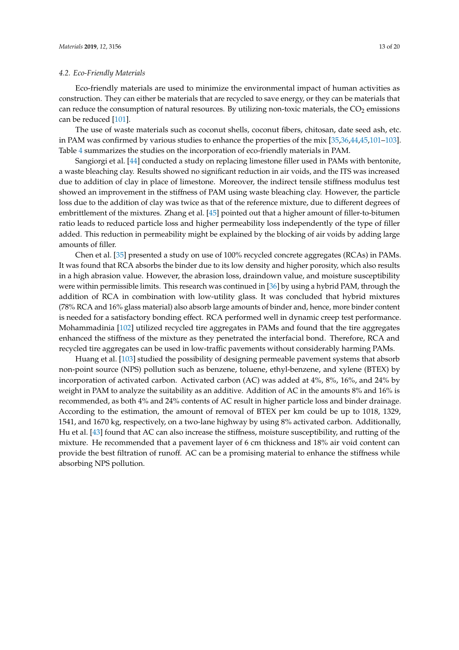#### *4.2. Eco-Friendly Materials*

Eco-friendly materials are used to minimize the environmental impact of human activities as construction. They can either be materials that are recycled to save energy, or they can be materials that can reduce the consumption of natural resources. By utilizing non-toxic materials, the  $CO<sub>2</sub>$  emissions can be reduced [\[101\]](#page-20-9).

The use of waste materials such as coconut shells, coconut fibers, chitosan, date seed ash, etc. in PAM was confirmed by various studies to enhance the properties of the mix [\[35](#page-17-8)[,36](#page-17-9)[,44,](#page-17-23)[45,](#page-18-0)[101–](#page-20-9)[103\]](#page-20-10). Table [4](#page-14-0) summarizes the studies on the incorporation of eco-friendly materials in PAM.

Sangiorgi et al. [\[44\]](#page-17-23) conducted a study on replacing limestone filler used in PAMs with bentonite, a waste bleaching clay. Results showed no significant reduction in air voids, and the ITS was increased due to addition of clay in place of limestone. Moreover, the indirect tensile stiffness modulus test showed an improvement in the stiffness of PAM using waste bleaching clay. However, the particle loss due to the addition of clay was twice as that of the reference mixture, due to different degrees of embrittlement of the mixtures. Zhang et al. [\[45\]](#page-18-0) pointed out that a higher amount of filler-to-bitumen ratio leads to reduced particle loss and higher permeability loss independently of the type of filler added. This reduction in permeability might be explained by the blocking of air voids by adding large amounts of filler.

Chen et al. [\[35\]](#page-17-8) presented a study on use of 100% recycled concrete aggregates (RCAs) in PAMs. It was found that RCA absorbs the binder due to its low density and higher porosity, which also results in a high abrasion value. However, the abrasion loss, draindown value, and moisture susceptibility were within permissible limits. This research was continued in [\[36\]](#page-17-9) by using a hybrid PAM, through the addition of RCA in combination with low-utility glass. It was concluded that hybrid mixtures (78% RCA and 16% glass material) also absorb large amounts of binder and, hence, more binder content is needed for a satisfactory bonding effect. RCA performed well in dynamic creep test performance. Mohammadinia [\[102\]](#page-20-11) utilized recycled tire aggregates in PAMs and found that the tire aggregates enhanced the stiffness of the mixture as they penetrated the interfacial bond. Therefore, RCA and recycled tire aggregates can be used in low-traffic pavements without considerably harming PAMs.

Huang et al. [\[103\]](#page-20-10) studied the possibility of designing permeable pavement systems that absorb non-point source (NPS) pollution such as benzene, toluene, ethyl-benzene, and xylene (BTEX) by incorporation of activated carbon. Activated carbon (AC) was added at 4%, 8%, 16%, and 24% by weight in PAM to analyze the suitability as an additive. Addition of AC in the amounts 8% and 16% is recommended, as both 4% and 24% contents of AC result in higher particle loss and binder drainage. According to the estimation, the amount of removal of BTEX per km could be up to 1018, 1329, 1541, and 1670 kg, respectively, on a two-lane highway by using 8% activated carbon. Additionally, Hu et al. [\[43\]](#page-17-29) found that AC can also increase the stiffness, moisture susceptibility, and rutting of the mixture. He recommended that a pavement layer of 6 cm thickness and 18% air void content can provide the best filtration of runoff. AC can be a promising material to enhance the stiffness while absorbing NPS pollution.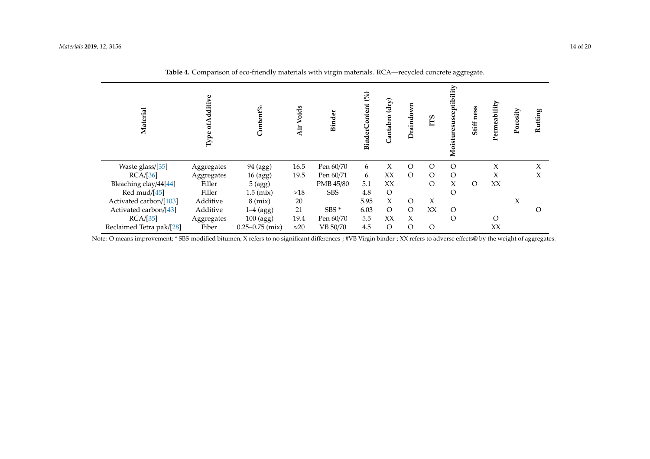| Material                                                    | Type of Additive               | Content%                                 | Voids<br>٠Ħ          | Binder                               | BinderContent (%)   | (dry)<br>Cantabro         | Draindown                    | ГTS                  | Moisturesusceptibility  | Stiff ness | Permeability | Porosity | Rutting |
|-------------------------------------------------------------|--------------------------------|------------------------------------------|----------------------|--------------------------------------|---------------------|---------------------------|------------------------------|----------------------|-------------------------|------------|--------------|----------|---------|
| Waste glass/[35]                                            | Aggregates                     | 94 (agg)                                 | 16.5                 | Pen 60/70                            | 6                   | X                         | $\circ$                      | $\Omega$<br>$\Omega$ | $\Omega$                |            | X            |          | X       |
| RCA/[36]<br>Bleaching clay/44[44]<br>Red mud/[45]           | Aggregates<br>Filler<br>Filler | 16 (agg)<br>5 (agg)<br>$1.5$ (mix)       | 19.5<br>$\approx 18$ | Pen 60/71<br>PMB 45/80<br><b>SBS</b> | 6<br>5.1<br>4.8     | XX<br>XX<br>$\mathcal{O}$ | $\circ$                      | $\Omega$             | $\circ$<br>X<br>$\circ$ | $\circ$    | X<br>XX      |          | X       |
| Activated carbon/[103]<br>Activated carbon/[43]<br>RCA/[35] | Additive<br>Additive           | $8 \,$ (mix)<br>$1-4$ (agg)<br>100 (agg) | 20<br>21<br>19.4     | $SBS*$<br>Pen 60/70                  | 5.95<br>6.03<br>5.5 | X<br>$\circ$<br>XX        | $\circ$<br>$\circ$<br>$\chi$ | X<br>XX              | $\circ$<br>$\Omega$     |            | $\circ$      | X        | Ω       |
| Reclaimed Tetra pak/[28]                                    | Aggregates<br>Fiber            | $0.25 - 0.75$ (mix)                      | $\approx$ 20         | VB 50/70                             | 4.5                 | $\mathcal{O}$             | $\circ$                      | $\circ$              |                         |            | XX           |          |         |

**Table 4.** Comparison of eco-friendly materials with virgin materials. RCA—recycled concrete aggregate.

<span id="page-14-0"></span>Note: O means improvement; \* SBS-modified bitumen; X refers to no significant differences-; #VB Virgin binder-; XX refers to adverse effects@ by the weight of aggregates.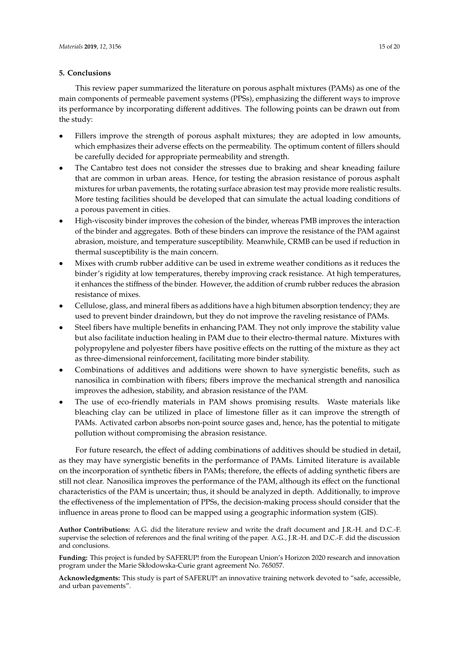#### **5. Conclusions**

This review paper summarized the literature on porous asphalt mixtures (PAMs) as one of the main components of permeable pavement systems (PPSs), emphasizing the different ways to improve its performance by incorporating different additives. The following points can be drawn out from the study:

- Fillers improve the strength of porous asphalt mixtures; they are adopted in low amounts, which emphasizes their adverse effects on the permeability. The optimum content of fillers should be carefully decided for appropriate permeability and strength.
- The Cantabro test does not consider the stresses due to braking and shear kneading failure that are common in urban areas. Hence, for testing the abrasion resistance of porous asphalt mixtures for urban pavements, the rotating surface abrasion test may provide more realistic results. More testing facilities should be developed that can simulate the actual loading conditions of a porous pavement in cities.
- High-viscosity binder improves the cohesion of the binder, whereas PMB improves the interaction of the binder and aggregates. Both of these binders can improve the resistance of the PAM against abrasion, moisture, and temperature susceptibility. Meanwhile, CRMB can be used if reduction in thermal susceptibility is the main concern.
- Mixes with crumb rubber additive can be used in extreme weather conditions as it reduces the binder's rigidity at low temperatures, thereby improving crack resistance. At high temperatures, it enhances the stiffness of the binder. However, the addition of crumb rubber reduces the abrasion resistance of mixes.
- Cellulose, glass, and mineral fibers as additions have a high bitumen absorption tendency; they are used to prevent binder draindown, but they do not improve the raveling resistance of PAMs.
- Steel fibers have multiple benefits in enhancing PAM. They not only improve the stability value but also facilitate induction healing in PAM due to their electro-thermal nature. Mixtures with polypropylene and polyester fibers have positive effects on the rutting of the mixture as they act as three-dimensional reinforcement, facilitating more binder stability.
- Combinations of additives and additions were shown to have synergistic benefits, such as nanosilica in combination with fibers; fibers improve the mechanical strength and nanosilica improves the adhesion, stability, and abrasion resistance of the PAM.
- The use of eco-friendly materials in PAM shows promising results. Waste materials like bleaching clay can be utilized in place of limestone filler as it can improve the strength of PAMs. Activated carbon absorbs non-point source gases and, hence, has the potential to mitigate pollution without compromising the abrasion resistance.

For future research, the effect of adding combinations of additives should be studied in detail, as they may have synergistic benefits in the performance of PAMs. Limited literature is available on the incorporation of synthetic fibers in PAMs; therefore, the effects of adding synthetic fibers are still not clear. Nanosilica improves the performance of the PAM, although its effect on the functional characteristics of the PAM is uncertain; thus, it should be analyzed in depth. Additionally, to improve the effectiveness of the implementation of PPSs, the decision-making process should consider that the influence in areas prone to flood can be mapped using a geographic information system (GIS).

**Author Contributions:** A.G. did the literature review and write the draft document and J.R.-H. and D.C.-F. supervise the selection of references and the final writing of the paper. A.G., J.R.-H. and D.C.-F. did the discussion and conclusions.

**Funding:** This project is funded by SAFERUP! from the European Union's Horizon 2020 research and innovation program under the Marie Skłodowska-Curie grant agreement No. 765057.

**Acknowledgments:** This study is part of SAFERUP! an innovative training network devoted to "safe, accessible, and urban pavements".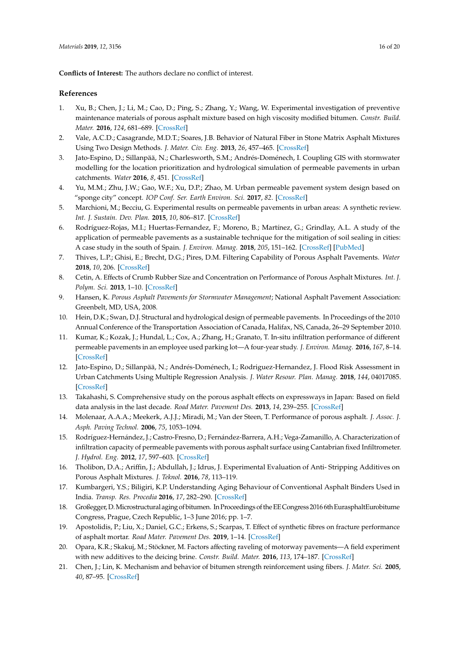**Conflicts of Interest:** The authors declare no conflict of interest.

#### <span id="page-16-20"></span>**References**

- <span id="page-16-0"></span>1. Xu, B.; Chen, J.; Li, M.; Cao, D.; Ping, S.; Zhang, Y.; Wang, W. Experimental investigation of preventive maintenance materials of porous asphalt mixture based on high viscosity modified bitumen. *Constr. Build. Mater.* **2016**, *124*, 681–689. [\[CrossRef\]](http://dx.doi.org/10.1016/j.conbuildmat.2016.07.122)
- <span id="page-16-1"></span>2. Vale, A.C.D.; Casagrande, M.D.T.; Soares, J.B. Behavior of Natural Fiber in Stone Matrix Asphalt Mixtures Using Two Design Methods. *J. Mater. Civ. Eng.* **2013**, *26*, 457–465. [\[CrossRef\]](http://dx.doi.org/10.1061/(ASCE)MT.1943-5533.0000815)
- <span id="page-16-2"></span>3. Jato-Espino, D.; Sillanpää, N.; Charlesworth, S.M.; Andrés-Doménech, I. Coupling GIS with stormwater modelling for the location prioritization and hydrological simulation of permeable pavements in urban catchments. *Water* **2016**, *8*, 451. [\[CrossRef\]](http://dx.doi.org/10.3390/w8100451)
- <span id="page-16-3"></span>4. Yu, M.M.; Zhu, J.W.; Gao, W.F.; Xu, D.P.; Zhao, M. Urban permeable pavement system design based on "sponge city" concept. *IOP Conf. Ser. Earth Environ. Sci.* **2017**, *82*. [\[CrossRef\]](http://dx.doi.org/10.1088/1755-1315/82/1/012027)
- <span id="page-16-4"></span>5. Marchioni, M.; Becciu, G. Experimental results on permeable pavements in urban areas: A synthetic review. *Int. J. Sustain. Dev. Plan.* **2015**, *10*, 806–817. [\[CrossRef\]](http://dx.doi.org/10.2495/SDP-V10-N6-806-817)
- <span id="page-16-5"></span>6. Rodríguez-Rojas, M.I.; Huertas-Fernandez, F.; Moreno, B.; Martínez, G.; Grindlay, A.L. A study of the application of permeable pavements as a sustainable technique for the mitigation of soil sealing in cities: A case study in the south of Spain. *J. Environ. Manag.* **2018**, *205*, 151–162. [\[CrossRef\]](http://dx.doi.org/10.1016/j.jenvman.2017.09.075) [\[PubMed\]](http://www.ncbi.nlm.nih.gov/pubmed/28982064)
- <span id="page-16-6"></span>7. Thives, L.P.; Ghisi, E.; Brecht, D.G.; Pires, D.M. Filtering Capability of Porous Asphalt Pavements. *Water*  **2018**, *10*, 206. [\[CrossRef\]](http://dx.doi.org/10.3390/w10020206)
- <span id="page-16-21"></span><span id="page-16-7"></span>8. Cetin, A. Effects of Crumb Rubber Size and Concentration on Performance of Porous Asphalt Mixtures. *Int. J. Polym. Sci.* **2013**, 1–10. [\[CrossRef\]](http://dx.doi.org/10.1155/2013/789612)
- <span id="page-16-19"></span>9. Hansen, K. *Porous Asphalt Pavements for Stormwater Management*; National Asphalt Pavement Association: Greenbelt, MD, USA, 2008.
- <span id="page-16-8"></span>10. Hein, D.K.; Swan, D.J. Structural and hydrological design of permeable pavements. In Proceedings of the 2010 Annual Conference of the Transportation Association of Canada, Halifax, NS, Canada, 26–29 September 2010.
- <span id="page-16-9"></span>11. Kumar, K.; Kozak, J.; Hundal, L.; Cox, A.; Zhang, H.; Granato, T. In-situ infiltration performance of different permeable pavements in an employee used parking lot—A four-year study. *J. Environ. Manag.* **2016**, *167*, 8–14. [\[CrossRef\]](http://dx.doi.org/10.1016/j.jenvman.2015.11.019)
- <span id="page-16-10"></span>12. Jato-Espino, D.; Sillanpää, N.; Andrés-Doménech, I.; Rodriguez-Hernandez, J. Flood Risk Assessment in Urban Catchments Using Multiple Regression Analysis. *J. Water Resour. Plan. Manag.* **2018**, *144*, 04017085. [\[CrossRef\]](http://dx.doi.org/10.1061/(ASCE)WR.1943-5452.0000874)
- <span id="page-16-11"></span>13. Takahashi, S. Comprehensive study on the porous asphalt effects on expressways in Japan: Based on field data analysis in the last decade. *Road Mater. Pavement Des.* **2013**, *14*, 239–255. [\[CrossRef\]](http://dx.doi.org/10.1080/14680629.2013.779298)
- <span id="page-16-12"></span>14. Molenaar, A.A.A.; Meekerk, A.J.J.; Miradi, M.; Van der Steen, T. Performance of porous asphalt. *J. Assoc. J. Asph. Paving Technol.* **2006**, *75*, 1053–1094.
- 15. Rodríguez-Hernández, J.; Castro-Fresno, D.; Fernández-Barrera, A.H.; Vega-Zamanillo, A. Characterization of infiltration capacity of permeable pavements with porous asphalt surface using Cantabrian fixed Infiltrometer. *J. Hydrol. Eng.* **2012**, *17*, 597–603. [\[CrossRef\]](http://dx.doi.org/10.1061/(ASCE)HE.1943-5584.0000480)
- <span id="page-16-13"></span>16. Tholibon, D.A.; Ariffin, J.; Abdullah, J.; Idrus, J. Experimental Evaluation of Anti- Stripping Additives on Porous Asphalt Mixtures. *J. Teknol.* **2016**, *78*, 113–119.
- <span id="page-16-14"></span>17. Kumbargeri, Y.S.; Biligiri, K.P. Understanding Aging Behaviour of Conventional Asphalt Binders Used in India. *Transp. Res. Procedia* **2016**, *17*, 282–290. [\[CrossRef\]](http://dx.doi.org/10.1016/j.trpro.2016.11.094)
- <span id="page-16-15"></span>18. Großegger, D. Microstructural aging of bitumen. In Proceedings of the EE Congress 2016 6th EurasphaltEurobitume Congress, Prague, Czech Republic, 1–3 June 2016; pp. 1–7.
- <span id="page-16-16"></span>19. Apostolidis, P.; Liu, X.; Daniel, G.C.; Erkens, S.; Scarpas, T. Effect of synthetic fibres on fracture performance of asphalt mortar. *Road Mater. Pavement Des.* **2019**, 1–14. [\[CrossRef\]](http://dx.doi.org/10.1080/14680629.2019.1574235)
- <span id="page-16-17"></span>20. Opara, K.R.; Skakuj, M.; Stöckner, M. Factors affecting raveling of motorway pavements—A field experiment with new additives to the deicing brine. *Constr. Build. Mater.* **2016**, *113*, 174–187. [\[CrossRef\]](http://dx.doi.org/10.1016/j.conbuildmat.2016.03.039)
- <span id="page-16-18"></span>21. Chen, J.; Lin, K. Mechanism and behavior of bitumen strength reinforcement using fibers. *J. Mater. Sci.* **2005**, *40*, 87–95. [\[CrossRef\]](http://dx.doi.org/10.1007/s10853-005-5691-4)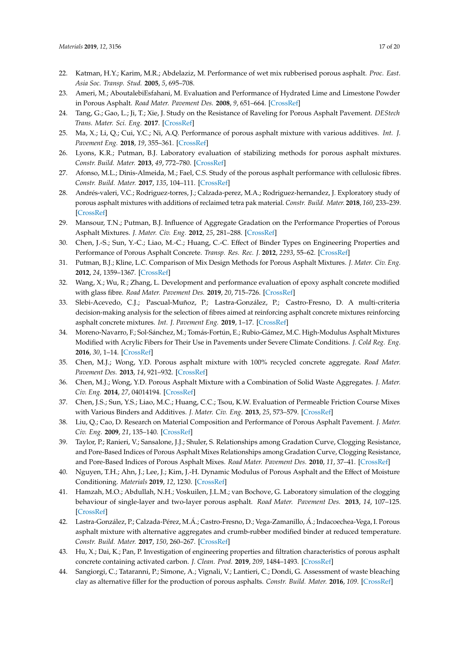- <span id="page-17-27"></span><span id="page-17-24"></span><span id="page-17-21"></span><span id="page-17-20"></span><span id="page-17-19"></span><span id="page-17-0"></span>22. Katman, H.Y.; Karim, M.R.; Abdelaziz, M. Performance of wet mix rubberised porous asphalt. *Proc. East. Asia Soc. Transp. Stud.* **2005**, *5*, 695–708.
- <span id="page-17-1"></span>23. Ameri, M.; AboutalebiEsfahani, M. Evaluation and Performance of Hydrated Lime and Limestone Powder in Porous Asphalt. *Road Mater. Pavement Des.* **2008**, *9*, 651–664. [\[CrossRef\]](http://dx.doi.org/10.1080/14680629.2008.9690143)
- <span id="page-17-2"></span>24. Tang, G.; Gao, L.; Ji, T.; Xie, J. Study on the Resistance of Raveling for Porous Asphalt Pavement. *DEStech Trans. Mater. Sci. Eng.* **2017**. [\[CrossRef\]](http://dx.doi.org/10.12783/dtmse/ictim2017/9934)
- <span id="page-17-3"></span>25. Ma, X.; Li, Q.; Cui, Y.C.; Ni, A.Q. Performance of porous asphalt mixture with various additives. *Int. J. Pavement Eng.* **2018**, *19*, 355–361. [\[CrossRef\]](http://dx.doi.org/10.1080/10298436.2016.1175560)
- <span id="page-17-18"></span>26. Lyons, K.R.; Putman, B.J. Laboratory evaluation of stabilizing methods for porous asphalt mixtures. *Constr. Build. Mater.* **2013**, *49*, 772–780. [\[CrossRef\]](http://dx.doi.org/10.1016/j.conbuildmat.2013.08.076)
- <span id="page-17-30"></span><span id="page-17-25"></span>27. Afonso, M.L.; Dinis-Almeida, M.; Fael, C.S. Study of the porous asphalt performance with cellulosic fibres. *Constr. Build. Mater.* **2017**, *135*, 104–111. [\[CrossRef\]](http://dx.doi.org/10.1016/j.conbuildmat.2016.12.222)
- <span id="page-17-31"></span><span id="page-17-26"></span>28. Andrés-valeri, V.C.; Rodriguez-torres, J.; Calzada-perez, M.A.; Rodriguez-hernandez, J. Exploratory study of porous asphalt mixtures with additions of reclaimed tetra pak material. *Constr. Build. Mater.* **2018**, *160*, 233–239. [\[CrossRef\]](http://dx.doi.org/10.1016/j.conbuildmat.2017.11.067)
- <span id="page-17-28"></span><span id="page-17-16"></span>29. Mansour, T.N.; Putman, B.J. Influence of Aggregate Gradation on the Performance Properties of Porous Asphalt Mixtures. *J. Mater. Civ. Eng.* **2012**, *25*, 281–288. [\[CrossRef\]](http://dx.doi.org/10.1061/(ASCE)MT.1943-5533.0000602)
- <span id="page-17-10"></span>30. Chen, J.-S.; Sun, Y.-C.; Liao, M.-C.; Huang, C.-C. Effect of Binder Types on Engineering Properties and Performance of Porous Asphalt Concrete. *Transp. Res. Rec. J.* **2012**, *2293*, 55–62. [\[CrossRef\]](http://dx.doi.org/10.3141/2293-07)
- <span id="page-17-4"></span>31. Putman, B.J.; Kline, L.C. Comparison of Mix Design Methods for Porous Asphalt Mixtures. *J. Mater. Civ. Eng.*  **2012**, *24*, 1359–1367. [\[CrossRef\]](http://dx.doi.org/10.1061/(ASCE)MT.1943-5533.0000529)
- <span id="page-17-5"></span>32. Wang, X.; Wu, R.; Zhang, L. Development and performance evaluation of epoxy asphalt concrete modified with glass fibre. *Road Mater. Pavement Des.* **2019**, *20*, 715–726. [\[CrossRef\]](http://dx.doi.org/10.1080/14680629.2017.1413006)
- <span id="page-17-22"></span><span id="page-17-6"></span>33. Slebi-Acevedo, C.J.; Pascual-Muñoz, P.; Lastra-González, P.; Castro-Fresno, D. A multi-criteria decision-making analysis for the selection of fibres aimed at reinforcing asphalt concrete mixtures reinforcing asphalt concrete mixtures. *Int. J. Pavement Eng.* **2019**, 1–17. [\[CrossRef\]](http://dx.doi.org/10.1080/10298436.2019.1645848)
- <span id="page-17-7"></span>34. Moreno-Navarro, F.; Sol-Sánchez, M.; Tomás-Fortún, E.; Rubio-Gámez, M.C. High-Modulus Asphalt Mixtures Modified with Acrylic Fibers for Their Use in Pavements under Severe Climate Conditions. *J. Cold Reg. Eng.*  **2016**, *30*, 1–14. [\[CrossRef\]](http://dx.doi.org/10.1061/(ASCE)CR.1943-5495.0000108)
- <span id="page-17-8"></span>35. Chen, M.J.; Wong, Y.D. Porous asphalt mixture with 100% recycled concrete aggregate. *Road Mater. Pavement Des.* **2013**, *14*, 921–932. [\[CrossRef\]](http://dx.doi.org/10.1080/14680629.2013.837839)
- <span id="page-17-9"></span>36. Chen, M.J.; Wong, Y.D. Porous Asphalt Mixture with a Combination of Solid Waste Aggregates. *J. Mater. Civ. Eng.* **2014**, *27*, 04014194. [\[CrossRef\]](http://dx.doi.org/10.1061/(ASCE)MT.1943-5533.0001154)
- <span id="page-17-11"></span>37. Chen, J.S.; Sun, Y.S.; Liao, M.C.; Huang, C.C.; Tsou, K.W. Evaluation of Permeable Friction Course Mixes with Various Binders and Additives. *J. Mater. Civ. Eng.* **2013**, *25*, 573–579. [\[CrossRef\]](http://dx.doi.org/10.1061/(ASCE)MT.1943-5533.0000631)
- <span id="page-17-12"></span>38. Liu, Q.; Cao, D. Research on Material Composition and Performance of Porous Asphalt Pavement. *J. Mater. Civ. Eng.* **2009**, *21*, 135–140. [\[CrossRef\]](http://dx.doi.org/10.1061/(ASCE)0899-1561(2009)21:4(135))
- <span id="page-17-13"></span>39. Taylor, P.; Ranieri, V.; Sansalone, J.J.; Shuler, S. Relationships among Gradation Curve, Clogging Resistance, and Pore-Based Indices of Porous Asphalt Mixes Relationships among Gradation Curve, Clogging Resistance, and Pore-Based Indices of Porous Asphalt Mixes. *Road Mater. Pavement Des.* **2010**, *11*, 37–41. [\[CrossRef\]](http://dx.doi.org/10.3166/RMPD.11HS.507-525)
- <span id="page-17-14"></span>40. Nguyen, T.H.; Ahn, J.; Lee, J.; Kim, J.-H. Dynamic Modulus of Porous Asphalt and the Effect of Moisture Conditioning. *Materials* **2019**, *12*, 1230. [\[CrossRef\]](http://dx.doi.org/10.3390/ma12081230)
- <span id="page-17-15"></span>41. Hamzah, M.O.; Abdullah, N.H.; Voskuilen, J.L.M.; van Bochove, G. Laboratory simulation of the clogging behaviour of single-layer and two-layer porous asphalt. *Road Mater. Pavement Des.* **2013**, *14*, 107–125. [\[CrossRef\]](http://dx.doi.org/10.1080/14680629.2012.749803)
- <span id="page-17-17"></span>42. Lastra-González, P.; Calzada-Pérez, M.Á.; Castro-Fresno, D.; Vega-Zamanillo, Á.; Indacoechea-Vega, I. Porous asphalt mixture with alternative aggregates and crumb-rubber modified binder at reduced temperature. *Constr. Build. Mater.* **2017**, *150*, 260–267. [\[CrossRef\]](http://dx.doi.org/10.1016/j.conbuildmat.2017.06.008)
- <span id="page-17-29"></span>43. Hu, X.; Dai, K.; Pan, P. Investigation of engineering properties and filtration characteristics of porous asphalt concrete containing activated carbon. *J. Clean. Prod.* **2019**, *209*, 1484–1493. [\[CrossRef\]](http://dx.doi.org/10.1016/j.jclepro.2018.11.115)
- <span id="page-17-23"></span>44. Sangiorgi, C.; Tataranni, P.; Simone, A.; Vignali, V.; Lantieri, C.; Dondi, G. Assessment of waste bleaching clay as alternative filler for the production of porous asphalts. *Constr. Build. Mater.* **2016**, *109*. [\[CrossRef\]](http://dx.doi.org/10.1016/j.conbuildmat.2016.01.052)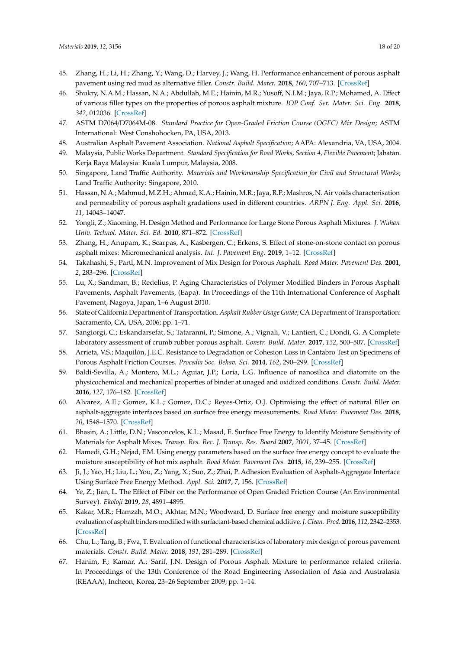- <span id="page-18-25"></span><span id="page-18-21"></span><span id="page-18-0"></span>45. Zhang, H.; Li, H.; Zhang, Y.; Wang, D.; Harvey, J.; Wang, H. Performance enhancement of porous asphalt pavement using red mud as alternative filler. *Constr. Build. Mater.* **2018**, *160*, 707–713. [\[CrossRef\]](http://dx.doi.org/10.1016/j.conbuildmat.2017.11.105)
- <span id="page-18-1"></span>46. Shukry, N.A.M.; Hassan, N.A.; Abdullah, M.E.; Hainin, M.R.; Yusoff, N.I.M.; Jaya, R.P.; Mohamed, A. Effect of various filler types on the properties of porous asphalt mixture. *IOP Conf. Ser. Mater. Sci. Eng.* **2018**, *342*, 012036. [\[CrossRef\]](http://dx.doi.org/10.1088/1757-899X/342/1/012036)
- <span id="page-18-2"></span>47. ASTM D7064/D7064M-08. *Standard Practice for Open-Graded Friction Course (OGFC) Mix Design*; ASTM International: West Conshohocken, PA, USA, 2013.
- <span id="page-18-3"></span>48. Australian Asphalt Pavement Association. *National Asphalt Specification*; AAPA: Alexandria, VA, USA, 2004.
- <span id="page-18-4"></span>49. Malaysia, Public Works Department. *Standard Specification for Road Works, Section 4, Flexible Pavement*; Jabatan. Kerja Raya Malaysia: Kuala Lumpur, Malaysia, 2008.
- <span id="page-18-23"></span><span id="page-18-5"></span>50. Singapore, Land Traffic Authority. *Materials and Workmanship Specification for Civil and Structural Works*; Land Traffic Authority: Singapore, 2010.
- <span id="page-18-6"></span>51. Hassan, N.A.; Mahmud, M.Z.H.; Ahmad, K.A.; Hainin, M.R.; Jaya, R.P.; Mashros, N. Air voids characterisation and permeability of porous asphalt gradations used in different countries. *ARPN J. Eng. Appl. Sci.* **2016**, *11*, 14043–14047.
- <span id="page-18-7"></span>52. Yongli, Z.; Xiaoming, H. Design Method and Performance for Large Stone Porous Asphalt Mixtures. *J. Wuhan Univ. Technol. Mater. Sci. Ed.* **2010**, 871–872. [\[CrossRef\]](http://dx.doi.org/10.1007/s11595-010-0111-2)
- <span id="page-18-8"></span>53. Zhang, H.; Anupam, K.; Scarpas, A.; Kasbergen, C.; Erkens, S. Effect of stone-on-stone contact on porous asphalt mixes: Micromechanical analysis. *Int. J. Pavement Eng.* **2019**, 1–12. [\[CrossRef\]](http://dx.doi.org/10.1080/10298436.2019.1654105)
- <span id="page-18-9"></span>54. Takahashi, S.; Partl, M.N. Improvement of Mix Design for Porous Asphalt. *Road Mater. Pavement Des.* **2001**, *2*, 283–296. [\[CrossRef\]](http://dx.doi.org/10.1080/14680629.2001.9689904)
- <span id="page-18-24"></span><span id="page-18-10"></span>55. Lu, X.; Sandman, B.; Redelius, P. Aging Characteristics of Polymer Modified Binders in Porous Asphalt Pavements, Asphalt Pavements, (Eapa). In Proceedings of the 11th International Conference of Asphalt Pavement, Nagoya, Japan, 1–6 August 2010.
- <span id="page-18-11"></span>56. State of California Department of Transportation. *Asphalt Rubber Usage Guide*; CA Department of Transportation: Sacramento, CA, USA, 2006; pp. 1–71.
- <span id="page-18-12"></span>57. Sangiorgi, C.; Eskandarsefat, S.; Tataranni, P.; Simone, A.; Vignali, V.; Lantieri, C.; Dondi, G. A Complete laboratory assessment of crumb rubber porous asphalt. *Constr. Build. Mater.* **2017**, *132*, 500–507. [\[CrossRef\]](http://dx.doi.org/10.1016/j.conbuildmat.2016.12.016)
- <span id="page-18-22"></span><span id="page-18-13"></span>58. Arrieta, V.S.; Maquilón, J.E.C. Resistance to Degradation or Cohesion Loss in Cantabro Test on Specimens of Porous Asphalt Friction Courses. *Procedia Soc. Behav. Sci.* **2014**, *162*, 290–299. [\[CrossRef\]](http://dx.doi.org/10.1016/j.sbspro.2014.12.210)
- <span id="page-18-14"></span>59. Baldi-Sevilla, A.; Montero, M.L.; Aguiar, J.P.; Loría, L.G. Influence of nanosilica and diatomite on the physicochemical and mechanical properties of binder at unaged and oxidized conditions. *Constr. Build. Mater.*  **2016**, *127*, 176–182. [\[CrossRef\]](http://dx.doi.org/10.1016/j.conbuildmat.2016.09.140)
- <span id="page-18-15"></span>60. Alvarez, A.E.; Gomez, K.L.; Gomez, D.C.; Reyes-Ortiz, O.J. Optimising the effect of natural filler on asphalt-aggregate interfaces based on surface free energy measurements. *Road Mater. Pavement Des.* **2018**, *20*, 1548–1570. [\[CrossRef\]](http://dx.doi.org/10.1080/14680629.2018.1465451)
- 61. Bhasin, A.; Little, D.N.; Vasconcelos, K.L.; Masad, E. Surface Free Energy to Identify Moisture Sensitivity of Materials for Asphalt Mixes. *Transp. Res. Rec. J. Transp. Res. Board* **2007**, *2001*, 37–45. [\[CrossRef\]](http://dx.doi.org/10.3141/2001-05)
- <span id="page-18-16"></span>62. Hamedi, G.H.; Nejad, F.M. Using energy parameters based on the surface free energy concept to evaluate the moisture susceptibility of hot mix asphalt. *Road Mater. Pavement Des.* **2015**, *16*, 239–255. [\[CrossRef\]](http://dx.doi.org/10.1080/14680629.2014.990049)
- <span id="page-18-17"></span>63. Ji, J.; Yao, H.; Liu, L.; You, Z.; Yang, X.; Suo, Z.; Zhai, P. Adhesion Evaluation of Asphalt-Aggregate Interface Using Surface Free Energy Method. *Appl. Sci.* **2017**, *7*, 156. [\[CrossRef\]](http://dx.doi.org/10.3390/app7020156)
- <span id="page-18-18"></span>64. Ye, Z.; Jian, L. The Effect of Fiber on the Performance of Open Graded Friction Course (An Environmental Survey). *Ekoloji* **2019**, *28*, 4891–4895.
- <span id="page-18-19"></span>65. Kakar, M.R.; Hamzah, M.O.; Akhtar, M.N.; Woodward, D. Surface free energy and moisture susceptibility evaluation of asphalt binders modified with surfactant-based chemical additive. *J. Clean. Prod.* **2016**, *112*, 2342–2353. [\[CrossRef\]](http://dx.doi.org/10.1016/j.jclepro.2015.10.101)
- <span id="page-18-20"></span>66. Chu, L.; Tang, B.; Fwa, T. Evaluation of functional characteristics of laboratory mix design of porous pavement materials. *Constr. Build. Mater.* **2018**, *191*, 281–289. [\[CrossRef\]](http://dx.doi.org/10.1016/j.conbuildmat.2018.10.003)
- 67. Hanim, F.; Kamar, A.; Sarif, J.N. Design of Porous Asphalt Mixture to performance related criteria. In Proceedings of the 13th Conference of the Road Engineering Association of Asia and Australasia (REAAA), Incheon, Korea, 23–26 September 2009; pp. 1–14.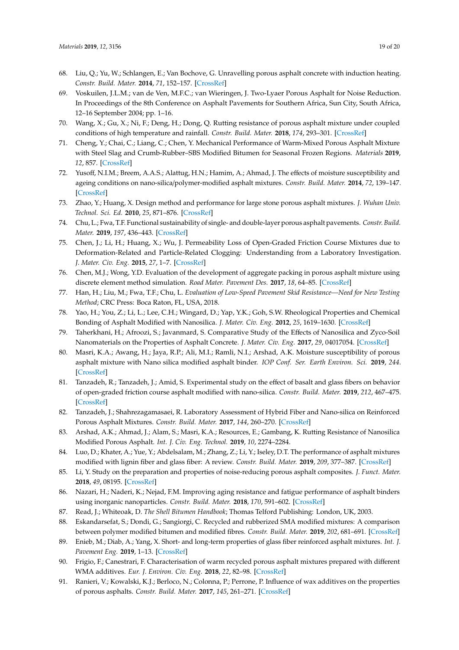- <span id="page-19-31"></span><span id="page-19-8"></span><span id="page-19-7"></span><span id="page-19-6"></span><span id="page-19-5"></span><span id="page-19-4"></span><span id="page-19-3"></span><span id="page-19-2"></span><span id="page-19-1"></span><span id="page-19-0"></span>68. Liu, Q.; Yu, W.; Schlangen, E.; Van Bochove, G. Unravelling porous asphalt concrete with induction heating. *Constr. Build. Mater.* **2014**, *71*, 152–157. [\[CrossRef\]](http://dx.doi.org/10.1016/j.conbuildmat.2014.08.048)
- <span id="page-19-9"></span>69. Voskuilen, J.L.M.; van de Ven, M.F.C.; van Wieringen, J. Two-Lyaer Porous Asphalt for Noise Reduction. In Proceedings of the 8th Conference on Asphalt Pavements for Southern Africa, Sun City, South Africa, 12–16 September 2004; pp. 1–16.
- 70. Wang, X.; Gu, X.; Ni, F.; Deng, H.; Dong, Q. Rutting resistance of porous asphalt mixture under coupled conditions of high temperature and rainfall. *Constr. Build. Mater.* **2018**, *174*, 293–301. [\[CrossRef\]](http://dx.doi.org/10.1016/j.conbuildmat.2018.04.104)
- <span id="page-19-22"></span>71. Cheng, Y.; Chai, C.; Liang, C.; Chen, Y. Mechanical Performance of Warm-Mixed Porous Asphalt Mixture with Steel Slag and Crumb-Rubber–SBS Modified Bitumen for Seasonal Frozen Regions. *Materials* **2019**, *12*, 857. [\[CrossRef\]](http://dx.doi.org/10.3390/ma12060857)
- <span id="page-19-25"></span><span id="page-19-13"></span>72. Yusoff, N.I.M.; Breem, A.A.S.; Alattug, H.N.; Hamim, A.; Ahmad, J. The effects of moisture susceptibility and ageing conditions on nano-silica/polymer-modified asphalt mixtures. *Constr. Build. Mater.* **2014**, *72*, 139–147. [\[CrossRef\]](http://dx.doi.org/10.1016/j.conbuildmat.2014.09.014)
- 73. Zhao, Y.; Huang, X. Design method and performance for large stone porous asphalt mixtures. *J. Wuhan Univ. Technol. Sci. Ed.* **2010**, *25*, 871–876. [\[CrossRef\]](http://dx.doi.org/10.1007/s11595-010-0111-2)
- 74. Chu, L.; Fwa, T.F. Functional sustainability of single- and double-layer porous asphalt pavements. *Constr. Build. Mater.* **2019**, *197*, 436–443. [\[CrossRef\]](http://dx.doi.org/10.1016/j.conbuildmat.2018.11.162)
- <span id="page-19-27"></span>75. Chen, J.; Li, H.; Huang, X.; Wu, J. Permeability Loss of Open-Graded Friction Course Mixtures due to Deformation-Related and Particle-Related Clogging: Understanding from a Laboratory Investigation. *J. Mater. Civ. Eng.* **2015**, *27*, 1–7. [\[CrossRef\]](http://dx.doi.org/10.1061/(ASCE)MT.1943-5533.0001282)
- <span id="page-19-26"></span>76. Chen, M.J.; Wong, Y.D. Evaluation of the development of aggregate packing in porous asphalt mixture using discrete element method simulation. *Road Mater. Pavement Des.* **2017**, *18*, 64–85. [\[CrossRef\]](http://dx.doi.org/10.1080/14680629.2016.1138881)
- 77. Han, H.; Liu, M.; Fwa, T.F.; Chu, L. *Evaluation of Low-Speed Pavement Skid Resistance—Need for New Testing Method*; CRC Press: Boca Raton, FL, USA, 2018.
- <span id="page-19-10"></span>78. Yao, H.; You, Z.; Li, L.; Lee, C.H.; Wingard, D.; Yap, Y.K.; Goh, S.W. Rheological Properties and Chemical Bonding of Asphalt Modified with Nanosilica. *J. Mater. Civ. Eng.* **2012**, *25*, 1619–1630. [\[CrossRef\]](http://dx.doi.org/10.1061/(ASCE)MT.1943-5533.0000690)
- <span id="page-19-11"></span>79. Taherkhani, H.; Afroozi, S.; Javanmard, S. Comparative Study of the Effects of Nanosilica and Zyco-Soil Nanomaterials on the Properties of Asphalt Concrete. *J. Mater. Civ. Eng.* **2017**, *29*, 04017054. [\[CrossRef\]](http://dx.doi.org/10.1061/(ASCE)MT.1943-5533.0001889)
- <span id="page-19-28"></span><span id="page-19-12"></span>80. Masri, K.A.; Awang, H.; Jaya, R.P.; Ali, M.I.; Ramli, N.I.; Arshad, A.K. Moisture susceptibility of porous asphalt mixture with Nano silica modified asphalt binder. *IOP Conf. Ser. Earth Environ. Sci.* **2019**, *244*. [\[CrossRef\]](http://dx.doi.org/10.1088/1755-1315/244/1/012028)
- <span id="page-19-29"></span><span id="page-19-14"></span>81. Tanzadeh, R.; Tanzadeh, J.; Amid, S. Experimental study on the effect of basalt and glass fibers on behavior of open-graded friction course asphalt modified with nano-silica. *Constr. Build. Mater.* **2019**, *212*, 467–475. [\[CrossRef\]](http://dx.doi.org/10.1016/j.conbuildmat.2019.04.010)
- <span id="page-19-15"></span>82. Tanzadeh, J.; Shahrezagamasaei, R. Laboratory Assessment of Hybrid Fiber and Nano-silica on Reinforced Porous Asphalt Mixtures. *Constr. Build. Mater.* **2017**, *144*, 260–270. [\[CrossRef\]](http://dx.doi.org/10.1016/j.conbuildmat.2017.03.184)
- <span id="page-19-16"></span>83. Arshad, A.K.; Ahmad, J.; Alam, S.; Masri, K.A.; Resources, E.; Gambang, K. Rutting Resistance of Nanosilica Modified Porous Asphalt. *Int. J. Civ. Eng. Technol.* **2019**, *10*, 2274–2284.
- <span id="page-19-17"></span>84. Luo, D.; Khater, A.; Yue, Y.; Abdelsalam, M.; Zhang, Z.; Li, Y.; Iseley, D.T. The performance of asphalt mixtures modified with lignin fiber and glass fiber: A review. *Constr. Build. Mater.* **2019**, *209*, 377–387. [\[CrossRef\]](http://dx.doi.org/10.1016/j.conbuildmat.2019.03.126)
- <span id="page-19-18"></span>85. Li, Y. Study on the preparation and properties of noise-reducing porous asphalt composites. *J. Funct. Mater.*  **2018**, *49*, 08195. [\[CrossRef\]](http://dx.doi.org/10.3969/j.issn.1001-9731.2018.08.033)
- <span id="page-19-19"></span>86. Nazari, H.; Naderi, K.; Nejad, F.M. Improving aging resistance and fatigue performance of asphalt binders using inorganic nanoparticles. *Constr. Build. Mater.* **2018**, *170*, 591–602. [\[CrossRef\]](http://dx.doi.org/10.1016/j.conbuildmat.2018.03.107)
- <span id="page-19-20"></span>87. Read, J.; Whiteoak, D. *The Shell Bitumen Handbook*; Thomas Telford Publishing: London, UK, 2003.
- <span id="page-19-21"></span>88. Eskandarsefat, S.; Dondi, G.; Sangiorgi, C. Recycled and rubberized SMA modified mixtures: A comparison between polymer modified bitumen and modified fibres. *Constr. Build. Mater.* **2019**, *202*, 681–691. [\[CrossRef\]](http://dx.doi.org/10.1016/j.conbuildmat.2019.01.045)
- <span id="page-19-23"></span>89. Enieb, M.; Diab, A.; Yang, X. Short- and long-term properties of glass fiber reinforced asphalt mixtures. *Int.* J. *Pavement Eng.* **2019**, 1–13. [\[CrossRef\]](http://dx.doi.org/10.1080/10298436.2019.1577421)
- <span id="page-19-24"></span>90. Frigio, F.; Canestrari, F. Characterisation of warm recycled porous asphalt mixtures prepared with different WMA additives. *Eur. J. Environ. Civ. Eng.* **2018**, *22*, 82–98. [\[CrossRef\]](http://dx.doi.org/10.1080/19648189.2016.1179680)
- <span id="page-19-30"></span>91. Ranieri, V.; Kowalski, K.J.; Berloco, N.; Colonna, P.; Perrone, P. Influence of wax additives on the properties of porous asphalts. *Constr. Build. Mater.* **2017**, *145*, 261–271. [\[CrossRef\]](http://dx.doi.org/10.1016/j.conbuildmat.2017.03.181)